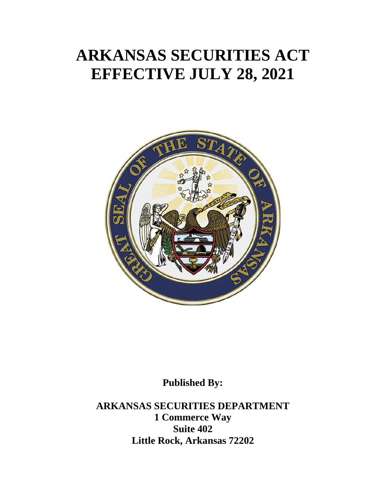# **ARKANSAS SECURITIES ACT EFFECTIVE JULY 28, 2021**



**Published By:**

**ARKANSAS SECURITIES DEPARTMENT 1 Commerce Way Suite 402 Little Rock, Arkansas 72202**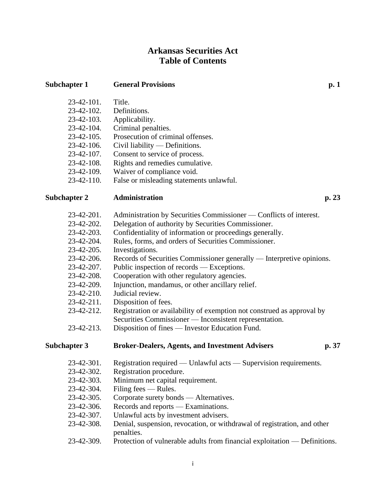# **Arkansas Securities Act Table of Contents**

**Subchapter 1 General Provisions p. 1**

| 23-42-101.        | Title.                                   |
|-------------------|------------------------------------------|
| 23-42-102.        | Definitions.                             |
| 23-42-103.        | Applicability.                           |
| 23-42-104.        | Criminal penalties.                      |
| $23 - 42 - 105$ . | Prosecution of criminal offenses.        |
| 23-42-106.        | Civil liability $-$ Definitions.         |
| 23-42-107.        | Consent to service of process.           |
| 23-42-108.        | Rights and remedies cumulative.          |
| 23-42-109.        | Waiver of compliance void.               |
| 23-42-110.        | False or misleading statements unlawful. |

#### **Subchapter 2 Administration p. 23**

- 23-42-201. Administration by Securities Commissioner Conflicts of interest.
- 23-42-202. Delegation of authority by Securities Commissioner.
- 23-42-203. Confidentiality of information or proceedings generally.
- 23-42-204. Rules, forms, and orders of Securities Commissioner.
- 23-42-205. Investigations.
- 23-42-206. Records of Securities Commissioner generally Interpretive opinions.
- 23-42-207. Public inspection of records Exceptions.
- 23-42-208. Cooperation with other regulatory agencies.
- 23-42-209. Injunction, mandamus, or other ancillary relief.
- 23-42-210. Judicial review.
- 23-42-211. Disposition of fees.
- 23-42-212. Registration or availability of exemption not construed as approval by Securities Commissioner — Inconsistent representation.
- 23-42-213. Disposition of fines Investor Education Fund.

**Subchapter 3 Broker-Dealers, Agents, and Investment Advisers p. 37**

- 23-42-301. Registration required Unlawful acts Supervision requirements.
- 23-42-302. Registration procedure.
- 23-42-303. Minimum net capital requirement.
- 23-42-304. Filing fees Rules.
- 23-42-305. Corporate surety bonds Alternatives.
- 23-42-306. Records and reports Examinations.
- 23-42-307. Unlawful acts by investment advisers.
- 23-42-308. Denial, suspension, revocation, or withdrawal of registration, and other penalties.
- 23-42-309. Protection of vulnerable adults from financial exploitation Definitions.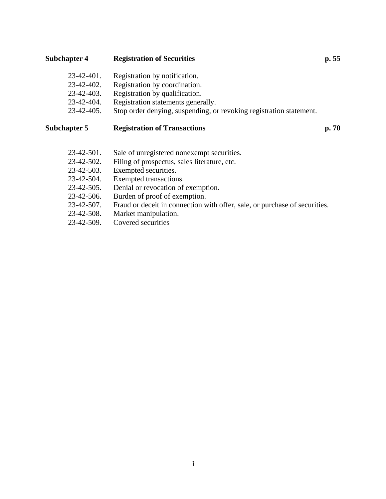## **Subchapter 4 Registration of Securities p. 55**

| $23 - 42 - 401$ . | Registration by notification.                                       |
|-------------------|---------------------------------------------------------------------|
| 23-42-402.        | Registration by coordination.                                       |
| $23 - 42 - 403$ . | Registration by qualification.                                      |
| 23-42-404.        | Registration statements generally.                                  |
| $23 - 42 - 405$ . | Stop order denying, suspending, or revoking registration statement. |
|                   |                                                                     |

## **Subchapter 5 Registration of Transactions p. 70**

| 23-42-501.        | Sale of unregistered nonexempt securities.                                 |
|-------------------|----------------------------------------------------------------------------|
| 23-42-502.        | Filing of prospectus, sales literature, etc.                               |
| 23-42-503.        | Exempted securities.                                                       |
| 23-42-504.        | Exempted transactions.                                                     |
| $23 - 42 - 505$ . | Denial or revocation of exemption.                                         |
| 23-42-506.        | Burden of proof of exemption.                                              |
| $23 - 42 - 507$ . | Fraud or deceit in connection with offer, sale, or purchase of securities. |
| 23-42-508.        | Market manipulation.                                                       |
| 23-42-509.        | Covered securities                                                         |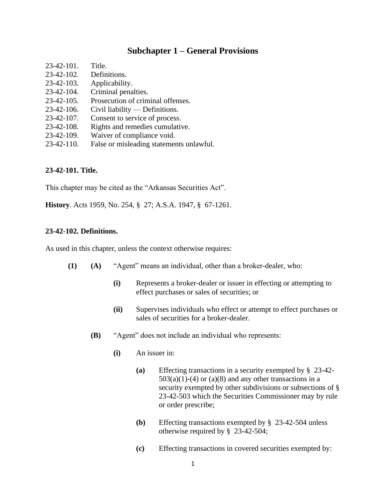## **Subchapter 1 – General Provisions**

| 23-42-101.        | Title.                                   |
|-------------------|------------------------------------------|
| $23 - 42 - 102$ . | Definitions.                             |
| 23-42-103.        | Applicability.                           |
| 23-42-104.        | Criminal penalties.                      |
| $23 - 42 - 105$ . | Prosecution of criminal offenses.        |
| $23-42-106.$      | Civil liability $-$ Definitions.         |
| $23-42-107$ .     | Consent to service of process.           |
| $23-42-108$ .     | Rights and remedies cumulative.          |
| 23-42-109.        | Waiver of compliance void.               |
| $23-42-110$ .     | False or misleading statements unlawful. |

#### **23-42-101. Title.**

This chapter may be cited as the "Arkansas Securities Act".

**History**. Acts 1959, No. 254, § 27; A.S.A. 1947, § 67-1261.

#### **23-42-102. Definitions.**

As used in this chapter, unless the context otherwise requires:

- **(1) (A)** "Agent" means an individual, other than a broker-dealer, who:
	- **(i)** Represents a broker-dealer or issuer in effecting or attempting to effect purchases or sales of securities; or
	- **(ii)** Supervises individuals who effect or attempt to effect purchases or sales of securities for a broker-dealer.
	- **(B)** "Agent" does not include an individual who represents:
		- **(i)** An issuer in:
			- **(a)** Effecting transactions in a security exempted by § 23-42-  $503(a)(1)-(4)$  or  $(a)(8)$  and any other transactions in a security exempted by other subdivisions or subsections of § 23-42-503 which the Securities Commissioner may by rule or order prescribe;
			- **(b)** Effecting transactions exempted by § 23-42-504 unless otherwise required by § 23-42-504;
			- **(c)** Effecting transactions in covered securities exempted by: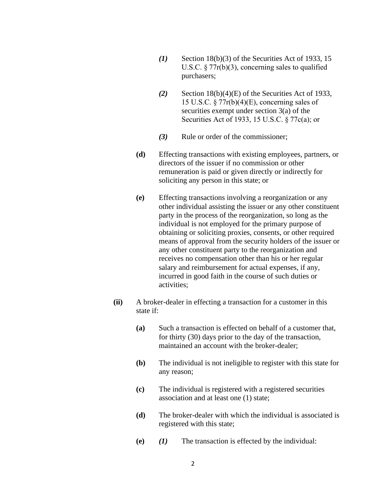- *(1)* Section 18(b)(3) of the Securities Act of 1933, 15 U.S.C. § 77r(b)(3), concerning sales to qualified purchasers;
- *(2)* Section 18(b)(4)(E) of the Securities Act of 1933, 15 U.S.C. § 77r(b)(4)(E), concerning sales of securities exempt under section 3(a) of the Securities Act of 1933, 15 U.S.C. § 77c(a); or
- *(3)* Rule or order of the commissioner;
- **(d)** Effecting transactions with existing employees, partners, or directors of the issuer if no commission or other remuneration is paid or given directly or indirectly for soliciting any person in this state; or
- **(e)** Effecting transactions involving a reorganization or any other individual assisting the issuer or any other constituent party in the process of the reorganization, so long as the individual is not employed for the primary purpose of obtaining or soliciting proxies, consents, or other required means of approval from the security holders of the issuer or any other constituent party to the reorganization and receives no compensation other than his or her regular salary and reimbursement for actual expenses, if any, incurred in good faith in the course of such duties or activities;
- **(ii)** A broker-dealer in effecting a transaction for a customer in this state if:
	- **(a)** Such a transaction is effected on behalf of a customer that, for thirty (30) days prior to the day of the transaction, maintained an account with the broker-dealer;
	- **(b)** The individual is not ineligible to register with this state for any reason;
	- **(c)** The individual is registered with a registered securities association and at least one (1) state;
	- **(d)** The broker-dealer with which the individual is associated is registered with this state;
	- **(e)** *(1)* The transaction is effected by the individual: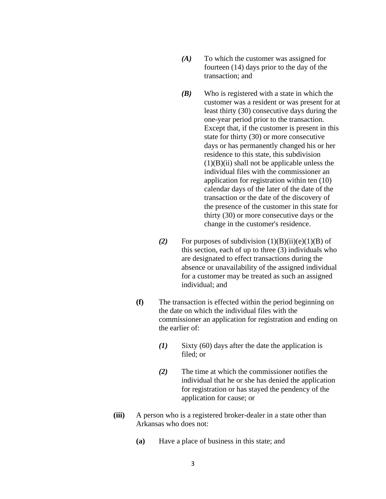- *(A)* To which the customer was assigned for fourteen (14) days prior to the day of the transaction; and
- *(B)* Who is registered with a state in which the customer was a resident or was present for at least thirty (30) consecutive days during the one-year period prior to the transaction. Except that, if the customer is present in this state for thirty (30) or more consecutive days or has permanently changed his or her residence to this state, this subdivision  $(1)(B)(ii)$  shall not be applicable unless the individual files with the commissioner an application for registration within ten (10) calendar days of the later of the date of the transaction or the date of the discovery of the presence of the customer in this state for thirty (30) or more consecutive days or the change in the customer's residence.
- (2) For purposes of subdivision  $(1)(B)(ii)(e)(1)(B)$  of this section, each of up to three (3) individuals who are designated to effect transactions during the absence or unavailability of the assigned individual for a customer may be treated as such an assigned individual; and
- **(f)** The transaction is effected within the period beginning on the date on which the individual files with the commissioner an application for registration and ending on the earlier of:
	- *(1)* Sixty (60) days after the date the application is filed; or
	- *(2)* The time at which the commissioner notifies the individual that he or she has denied the application for registration or has stayed the pendency of the application for cause; or
- **(iii)** A person who is a registered broker-dealer in a state other than Arkansas who does not:
	- **(a)** Have a place of business in this state; and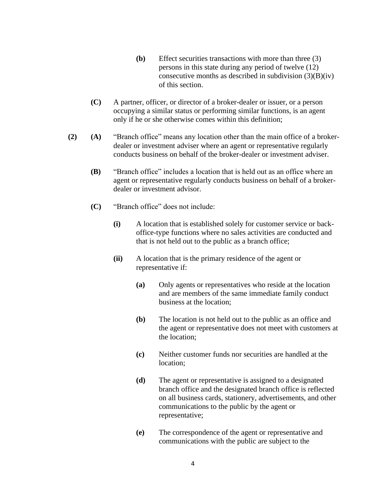- **(b)** Effect securities transactions with more than three (3) persons in this state during any period of twelve (12) consecutive months as described in subdivision  $(3)(B)(iv)$ of this section.
- **(C)** A partner, officer, or director of a broker-dealer or issuer, or a person occupying a similar status or performing similar functions, is an agent only if he or she otherwise comes within this definition;
- **(2) (A)** "Branch office" means any location other than the main office of a brokerdealer or investment adviser where an agent or representative regularly conducts business on behalf of the broker-dealer or investment adviser.
	- **(B)** "Branch office" includes a location that is held out as an office where an agent or representative regularly conducts business on behalf of a brokerdealer or investment advisor.
	- **(C)** "Branch office" does not include:
		- **(i)** A location that is established solely for customer service or backoffice-type functions where no sales activities are conducted and that is not held out to the public as a branch office;
		- **(ii)** A location that is the primary residence of the agent or representative if:
			- **(a)** Only agents or representatives who reside at the location and are members of the same immediate family conduct business at the location;
			- **(b)** The location is not held out to the public as an office and the agent or representative does not meet with customers at the location;
			- **(c)** Neither customer funds nor securities are handled at the location;
			- **(d)** The agent or representative is assigned to a designated branch office and the designated branch office is reflected on all business cards, stationery, advertisements, and other communications to the public by the agent or representative;
			- **(e)** The correspondence of the agent or representative and communications with the public are subject to the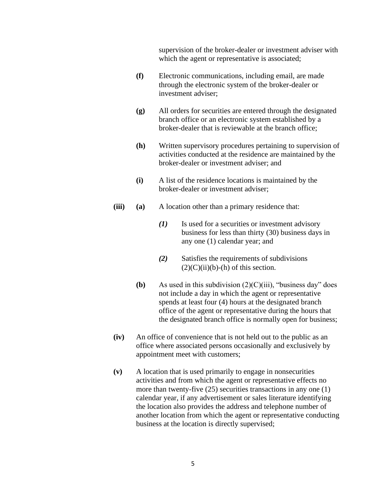supervision of the broker-dealer or investment adviser with which the agent or representative is associated;

- **(f)** Electronic communications, including email, are made through the electronic system of the broker-dealer or investment adviser;
- **(g)** All orders for securities are entered through the designated branch office or an electronic system established by a broker-dealer that is reviewable at the branch office;
- **(h)** Written supervisory procedures pertaining to supervision of activities conducted at the residence are maintained by the broker-dealer or investment adviser; and
- **(i)** A list of the residence locations is maintained by the broker-dealer or investment adviser;
- **(iii) (a)** A location other than a primary residence that:
	- *(1)* Is used for a securities or investment advisory business for less than thirty (30) business days in any one (1) calendar year; and
	- *(2)* Satisfies the requirements of subdivisions  $(2)(C)(ii)(b)-(h)$  of this section.
	- **(b)** As used in this subdivision  $(2)(C)(iii)$ , "business day" does not include a day in which the agent or representative spends at least four (4) hours at the designated branch office of the agent or representative during the hours that the designated branch office is normally open for business;
- **(iv)** An office of convenience that is not held out to the public as an office where associated persons occasionally and exclusively by appointment meet with customers;
- **(v)** A location that is used primarily to engage in nonsecurities activities and from which the agent or representative effects no more than twenty-five (25) securities transactions in any one (1) calendar year, if any advertisement or sales literature identifying the location also provides the address and telephone number of another location from which the agent or representative conducting business at the location is directly supervised;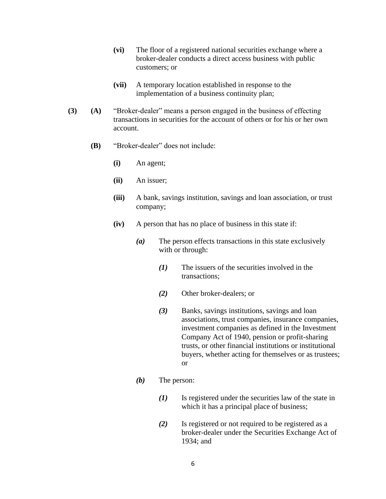- **(vi)** The floor of a registered national securities exchange where a broker-dealer conducts a direct access business with public customers; or
- **(vii)** A temporary location established in response to the implementation of a business continuity plan;
- **(3) (A)** "Broker-dealer" means a person engaged in the business of effecting transactions in securities for the account of others or for his or her own account.
	- **(B)** "Broker-dealer" does not include:
		- **(i)** An agent;
		- **(ii)** An issuer;
		- **(iii)** A bank, savings institution, savings and loan association, or trust company;
		- **(iv)** A person that has no place of business in this state if:
			- *(a)* The person effects transactions in this state exclusively with or through:
				- *(1)* The issuers of the securities involved in the transactions;
				- *(2)* Other broker-dealers; or
				- *(3)* Banks, savings institutions, savings and loan associations, trust companies, insurance companies, investment companies as defined in the Investment Company Act of 1940, pension or profit-sharing trusts, or other financial institutions or institutional buyers, whether acting for themselves or as trustees; or
			- *(b)* The person:
				- *(1)* Is registered under the securities law of the state in which it has a principal place of business;
				- *(2)* Is registered or not required to be registered as a broker-dealer under the Securities Exchange Act of 1934; and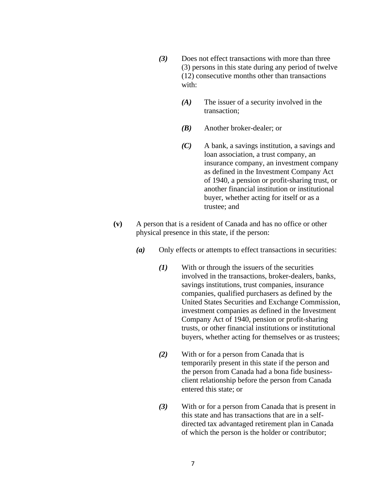- *(3)* Does not effect transactions with more than three (3) persons in this state during any period of twelve (12) consecutive months other than transactions with:
	- *(A)* The issuer of a security involved in the transaction;
	- *(B)* Another broker-dealer; or
	- *(C)* A bank, a savings institution, a savings and loan association, a trust company, an insurance company, an investment company as defined in the Investment Company Act of 1940, a pension or profit-sharing trust, or another financial institution or institutional buyer, whether acting for itself or as a trustee; and
- **(v)** A person that is a resident of Canada and has no office or other physical presence in this state, if the person:
	- *(a)* Only effects or attempts to effect transactions in securities:
		- *(1)* With or through the issuers of the securities involved in the transactions, broker-dealers, banks, savings institutions, trust companies, insurance companies, qualified purchasers as defined by the United States Securities and Exchange Commission, investment companies as defined in the Investment Company Act of 1940, pension or profit-sharing trusts, or other financial institutions or institutional buyers, whether acting for themselves or as trustees;
		- *(2)* With or for a person from Canada that is temporarily present in this state if the person and the person from Canada had a bona fide businessclient relationship before the person from Canada entered this state; or
		- *(3)* With or for a person from Canada that is present in this state and has transactions that are in a selfdirected tax advantaged retirement plan in Canada of which the person is the holder or contributor;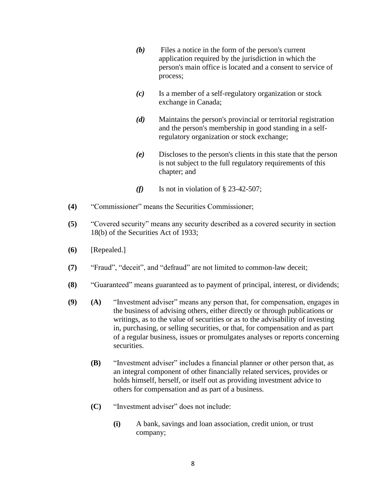- *(b)* Files a notice in the form of the person's current application required by the jurisdiction in which the person's main office is located and a consent to service of process;
- *(c)* Is a member of a self-regulatory organization or stock exchange in Canada;
- *(d)* Maintains the person's provincial or territorial registration and the person's membership in good standing in a selfregulatory organization or stock exchange;
- *(e)* Discloses to the person's clients in this state that the person is not subject to the full regulatory requirements of this chapter; and
- *(f)* Is not in violation of § 23-42-507;
- **(4)** "Commissioner" means the Securities Commissioner;
- **(5)** "Covered security" means any security described as a covered security in section 18(b) of the Securities Act of 1933;
- **(6)** [Repealed.]
- **(7)** "Fraud", "deceit", and "defraud" are not limited to common-law deceit;
- **(8)** "Guaranteed" means guaranteed as to payment of principal, interest, or dividends;
- **(9) (A)** "Investment adviser" means any person that, for compensation, engages in the business of advising others, either directly or through publications or writings, as to the value of securities or as to the advisability of investing in, purchasing, or selling securities, or that, for compensation and as part of a regular business, issues or promulgates analyses or reports concerning securities.
	- **(B)** "Investment adviser" includes a financial planner or other person that, as an integral component of other financially related services, provides or holds himself, herself, or itself out as providing investment advice to others for compensation and as part of a business.
	- **(C)** "Investment adviser" does not include:
		- **(i)** A bank, savings and loan association, credit union, or trust company;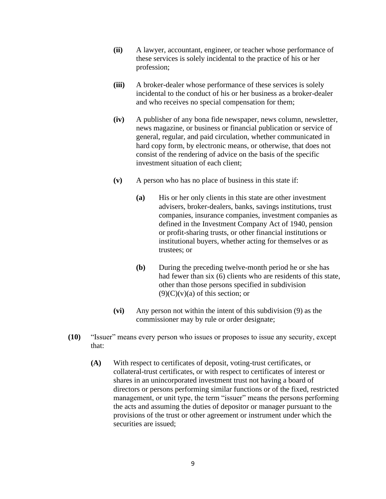- **(ii)** A lawyer, accountant, engineer, or teacher whose performance of these services is solely incidental to the practice of his or her profession;
- **(iii)** A broker-dealer whose performance of these services is solely incidental to the conduct of his or her business as a broker-dealer and who receives no special compensation for them;
- **(iv)** A publisher of any bona fide newspaper, news column, newsletter, news magazine, or business or financial publication or service of general, regular, and paid circulation, whether communicated in hard copy form, by electronic means, or otherwise, that does not consist of the rendering of advice on the basis of the specific investment situation of each client;
- **(v)** A person who has no place of business in this state if:
	- **(a)** His or her only clients in this state are other investment advisers, broker-dealers, banks, savings institutions, trust companies, insurance companies, investment companies as defined in the Investment Company Act of 1940, pension or profit-sharing trusts, or other financial institutions or institutional buyers, whether acting for themselves or as trustees; or
	- **(b)** During the preceding twelve-month period he or she has had fewer than six (6) clients who are residents of this state, other than those persons specified in subdivision  $(9)(C)(v)(a)$  of this section; or
- **(vi)** Any person not within the intent of this subdivision (9) as the commissioner may by rule or order designate;
- **(10)** "Issuer" means every person who issues or proposes to issue any security, except that:
	- **(A)** With respect to certificates of deposit, voting-trust certificates, or collateral-trust certificates, or with respect to certificates of interest or shares in an unincorporated investment trust not having a board of directors or persons performing similar functions or of the fixed, restricted management, or unit type, the term "issuer" means the persons performing the acts and assuming the duties of depositor or manager pursuant to the provisions of the trust or other agreement or instrument under which the securities are issued;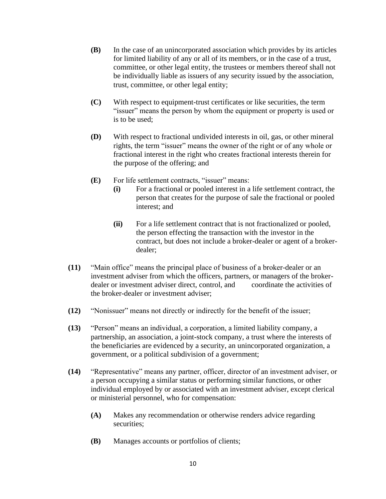- **(B)** In the case of an unincorporated association which provides by its articles for limited liability of any or all of its members, or in the case of a trust, committee, or other legal entity, the trustees or members thereof shall not be individually liable as issuers of any security issued by the association, trust, committee, or other legal entity;
- **(C)** With respect to equipment-trust certificates or like securities, the term "issuer" means the person by whom the equipment or property is used or is to be used;
- **(D)** With respect to fractional undivided interests in oil, gas, or other mineral rights, the term "issuer" means the owner of the right or of any whole or fractional interest in the right who creates fractional interests therein for the purpose of the offering; and
- **(E)** For life settlement contracts, "issuer" means:
	- **(i)** For a fractional or pooled interest in a life settlement contract, the person that creates for the purpose of sale the fractional or pooled interest; and
	- **(ii)** For a life settlement contract that is not fractionalized or pooled, the person effecting the transaction with the investor in the contract, but does not include a broker-dealer or agent of a brokerdealer;
- **(11)** "Main office" means the principal place of business of a broker-dealer or an investment adviser from which the officers, partners, or managers of the brokerdealer or investment adviser direct, control, and coordinate the activities of the broker-dealer or investment adviser;
- **(12)** "Nonissuer" means not directly or indirectly for the benefit of the issuer;
- **(13)** "Person" means an individual, a corporation, a limited liability company, a partnership, an association, a joint-stock company, a trust where the interests of the beneficiaries are evidenced by a security, an unincorporated organization, a government, or a political subdivision of a government;
- **(14)** "Representative" means any partner, officer, director of an investment adviser, or a person occupying a similar status or performing similar functions, or other individual employed by or associated with an investment adviser, except clerical or ministerial personnel, who for compensation:
	- **(A)** Makes any recommendation or otherwise renders advice regarding securities;
	- **(B)** Manages accounts or portfolios of clients;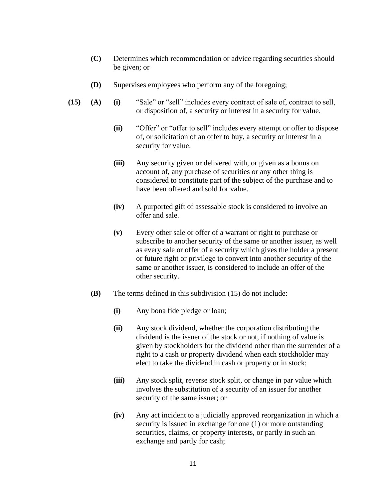- **(C)** Determines which recommendation or advice regarding securities should be given; or
- **(D)** Supervises employees who perform any of the foregoing;
- **(15) (A) (i)** "Sale" or "sell" includes every contract of sale of, contract to sell, or disposition of, a security or interest in a security for value.
	- **(ii)** "Offer" or "offer to sell" includes every attempt or offer to dispose of, or solicitation of an offer to buy, a security or interest in a security for value.
	- **(iii)** Any security given or delivered with, or given as a bonus on account of, any purchase of securities or any other thing is considered to constitute part of the subject of the purchase and to have been offered and sold for value.
	- **(iv)** A purported gift of assessable stock is considered to involve an offer and sale.
	- **(v)** Every other sale or offer of a warrant or right to purchase or subscribe to another security of the same or another issuer, as well as every sale or offer of a security which gives the holder a present or future right or privilege to convert into another security of the same or another issuer, is considered to include an offer of the other security.
	- **(B)** The terms defined in this subdivision (15) do not include:
		- **(i)** Any bona fide pledge or loan;
		- **(ii)** Any stock dividend, whether the corporation distributing the dividend is the issuer of the stock or not, if nothing of value is given by stockholders for the dividend other than the surrender of a right to a cash or property dividend when each stockholder may elect to take the dividend in cash or property or in stock;
		- **(iii)** Any stock split, reverse stock split, or change in par value which involves the substitution of a security of an issuer for another security of the same issuer; or
		- **(iv)** Any act incident to a judicially approved reorganization in which a security is issued in exchange for one  $(1)$  or more outstanding securities, claims, or property interests, or partly in such an exchange and partly for cash;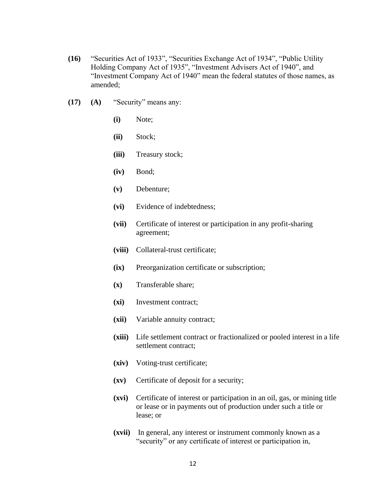- **(16)** "Securities Act of 1933", "Securities Exchange Act of 1934", "Public Utility Holding Company Act of 1935", "Investment Advisers Act of 1940", and "Investment Company Act of 1940" mean the federal statutes of those names, as amended;
- **(17) (A)** "Security" means any:
	- **(i)** Note;
	- **(ii)** Stock;
	- **(iii)** Treasury stock;
	- **(iv)** Bond;
	- **(v)** Debenture;
	- **(vi)** Evidence of indebtedness;
	- **(vii)** Certificate of interest or participation in any profit-sharing agreement;
	- **(viii)** Collateral-trust certificate;
	- **(ix)** Preorganization certificate or subscription;
	- **(x)** Transferable share;
	- **(xi)** Investment contract;
	- **(xii)** Variable annuity contract;
	- **(xiii)** Life settlement contract or fractionalized or pooled interest in a life settlement contract;
	- **(xiv)** Voting-trust certificate;
	- **(xv)** Certificate of deposit for a security;
	- **(xvi)** Certificate of interest or participation in an oil, gas, or mining title or lease or in payments out of production under such a title or lease; or
	- **(xvii)** In general, any interest or instrument commonly known as a "security" or any certificate of interest or participation in,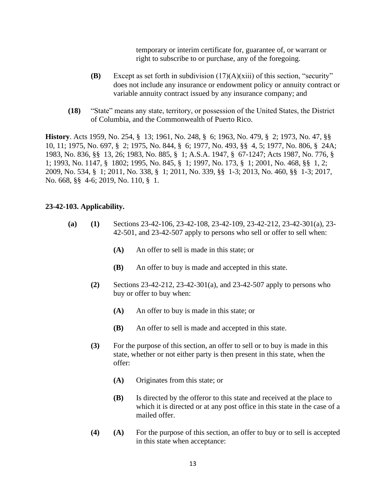temporary or interim certificate for, guarantee of, or warrant or right to subscribe to or purchase, any of the foregoing.

- **(B)** Except as set forth in subdivision (17)(A)(xiii) of this section, "security" does not include any insurance or endowment policy or annuity contract or variable annuity contract issued by any insurance company; and
- **(18)** "State" means any state, territory, or possession of the United States, the District of Columbia, and the Commonwealth of Puerto Rico.

**History**. Acts 1959, No. 254, § 13; 1961, No. 248, § 6; 1963, No. 479, § 2; 1973, No. 47, §§ 10, 11; 1975, No. 697, § 2; 1975, No. 844, § 6; 1977, No. 493, §§ 4, 5; 1977, No. 806, § 24A; 1983, No. 836, §§ 13, 26; 1983, No. 885, § 1; A.S.A. 1947, § 67-1247; Acts 1987, No. 776, § 1; 1993, No. 1147, § 1802; 1995, No. 845, § 1; 1997, No. 173, § 1; 2001, No. 468, §§ 1, 2; 2009, No. 534, § 1; 2011, No. 338, § 1; 2011, No. 339, §§ 1-3; 2013, No. 460, §§ 1-3; 2017, No. 668, §§ 4-6; 2019, No. 110, § 1.

#### **23-42-103. Applicability.**

- **(a) (1)** Sections 23-42-106, 23-42-108, 23-42-109, 23-42-212, 23-42-301(a), 23- 42-501, and 23-42-507 apply to persons who sell or offer to sell when:
	- **(A)** An offer to sell is made in this state; or
	- **(B)** An offer to buy is made and accepted in this state.
	- **(2)** Sections 23-42-212, 23-42-301(a), and 23-42-507 apply to persons who buy or offer to buy when:
		- **(A)** An offer to buy is made in this state; or
		- **(B)** An offer to sell is made and accepted in this state.
	- **(3)** For the purpose of this section, an offer to sell or to buy is made in this state, whether or not either party is then present in this state, when the offer:
		- **(A)** Originates from this state; or
		- **(B)** Is directed by the offeror to this state and received at the place to which it is directed or at any post office in this state in the case of a mailed offer.
	- **(4) (A)** For the purpose of this section, an offer to buy or to sell is accepted in this state when acceptance: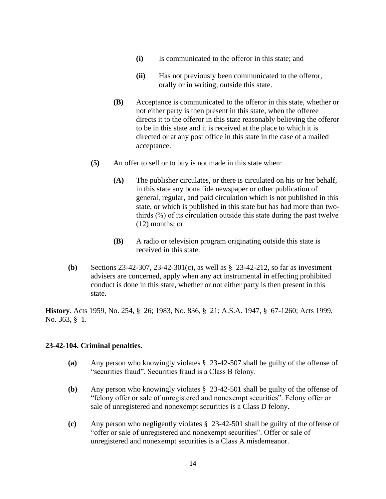- **(i)** Is communicated to the offeror in this state; and
- **(ii)** Has not previously been communicated to the offeror, orally or in writing, outside this state.
- **(B)** Acceptance is communicated to the offeror in this state, whether or not either party is then present in this state, when the offeree directs it to the offeror in this state reasonably believing the offeror to be in this state and it is received at the place to which it is directed or at any post office in this state in the case of a mailed acceptance.
- **(5)** An offer to sell or to buy is not made in this state when:
	- **(A)** The publisher circulates, or there is circulated on his or her behalf, in this state any bona fide newspaper or other publication of general, regular, and paid circulation which is not published in this state, or which is published in this state but has had more than twothirds  $(%)$  of its circulation outside this state during the past twelve (12) months; or
	- **(B)** A radio or television program originating outside this state is received in this state.
- **(b)** Sections 23-42-307, 23-42-301(c), as well as § 23-42-212, so far as investment advisers are concerned, apply when any act instrumental in effecting prohibited conduct is done in this state, whether or not either party is then present in this state.

**History**. Acts 1959, No. 254, § 26; 1983, No. 836, § 21; A.S.A. 1947, § 67-1260; Acts 1999, No. 363, § 1.

### **23-42-104. Criminal penalties.**

- **(a)** Any person who knowingly violates § 23-42-507 shall be guilty of the offense of "securities fraud". Securities fraud is a Class B felony.
- **(b)** Any person who knowingly violates § 23-42-501 shall be guilty of the offense of "felony offer or sale of unregistered and nonexempt securities". Felony offer or sale of unregistered and nonexempt securities is a Class D felony.
- **(c)** Any person who negligently violates § 23-42-501 shall be guilty of the offense of "offer or sale of unregistered and nonexempt securities". Offer or sale of unregistered and nonexempt securities is a Class A misdemeanor.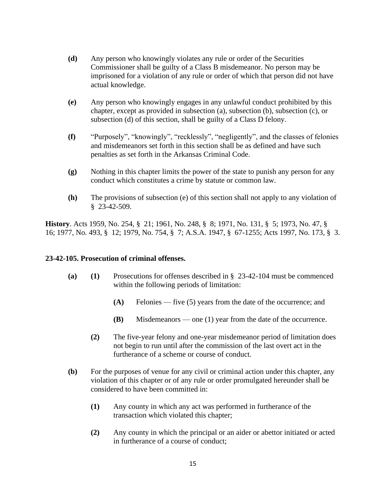- **(d)** Any person who knowingly violates any rule or order of the Securities Commissioner shall be guilty of a Class B misdemeanor. No person may be imprisoned for a violation of any rule or order of which that person did not have actual knowledge.
- **(e)** Any person who knowingly engages in any unlawful conduct prohibited by this chapter, except as provided in subsection (a), subsection (b), subsection (c), or subsection (d) of this section, shall be guilty of a Class D felony.
- **(f)** "Purposely", "knowingly", "recklessly", "negligently", and the classes of felonies and misdemeanors set forth in this section shall be as defined and have such penalties as set forth in the Arkansas Criminal Code.
- **(g)** Nothing in this chapter limits the power of the state to punish any person for any conduct which constitutes a crime by statute or common law.
- **(h)** The provisions of subsection (e) of this section shall not apply to any violation of § 23-42-509.

**History**. Acts 1959, No. 254, § 21; 1961, No. 248, § 8; 1971, No. 131, § 5; 1973, No. 47, § 16; 1977, No. 493, § 12; 1979, No. 754, § 7; A.S.A. 1947, § 67-1255; Acts 1997, No. 173, § 3.

### **23-42-105. Prosecution of criminal offenses.**

- **(a) (1)** Prosecutions for offenses described in § 23-42-104 must be commenced within the following periods of limitation:
	- **(A)** Felonies five (5) years from the date of the occurrence; and
	- **(B)** Misdemeanors one (1) year from the date of the occurrence.
	- **(2)** The five-year felony and one-year misdemeanor period of limitation does not begin to run until after the commission of the last overt act in the furtherance of a scheme or course of conduct.
- **(b)** For the purposes of venue for any civil or criminal action under this chapter, any violation of this chapter or of any rule or order promulgated hereunder shall be considered to have been committed in:
	- **(1)** Any county in which any act was performed in furtherance of the transaction which violated this chapter;
	- **(2)** Any county in which the principal or an aider or abettor initiated or acted in furtherance of a course of conduct;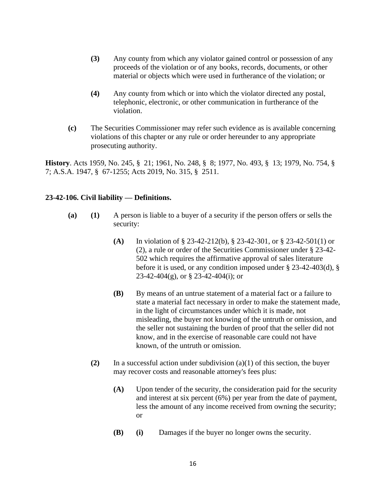- **(3)** Any county from which any violator gained control or possession of any proceeds of the violation or of any books, records, documents, or other material or objects which were used in furtherance of the violation; or
- **(4)** Any county from which or into which the violator directed any postal, telephonic, electronic, or other communication in furtherance of the violation.
- **(c)** The Securities Commissioner may refer such evidence as is available concerning violations of this chapter or any rule or order hereunder to any appropriate prosecuting authority.

**History**. Acts 1959, No. 245, § 21; 1961, No. 248, § 8; 1977, No. 493, § 13; 1979, No. 754, § 7; A.S.A. 1947, § 67-1255; Acts 2019, No. 315, § 2511.

### **23-42-106. Civil liability — Definitions.**

- **(a) (1)** A person is liable to a buyer of a security if the person offers or sells the security:
	- **(A)** In violation of § 23-42-212(b), § 23-42-301, or § 23-42-501(1) or (2), a rule or order of the Securities Commissioner under § 23-42- 502 which requires the affirmative approval of sales literature before it is used, or any condition imposed under § 23-42-403(d), § 23-42-404(g), or § 23-42-404(i); or
	- **(B)** By means of an untrue statement of a material fact or a failure to state a material fact necessary in order to make the statement made, in the light of circumstances under which it is made, not misleading, the buyer not knowing of the untruth or omission, and the seller not sustaining the burden of proof that the seller did not know, and in the exercise of reasonable care could not have known, of the untruth or omission.
	- **(2)** In a successful action under subdivision  $(a)(1)$  of this section, the buyer may recover costs and reasonable attorney's fees plus:
		- **(A)** Upon tender of the security, the consideration paid for the security and interest at six percent (6%) per year from the date of payment, less the amount of any income received from owning the security; or
		- **(B) (i)** Damages if the buyer no longer owns the security.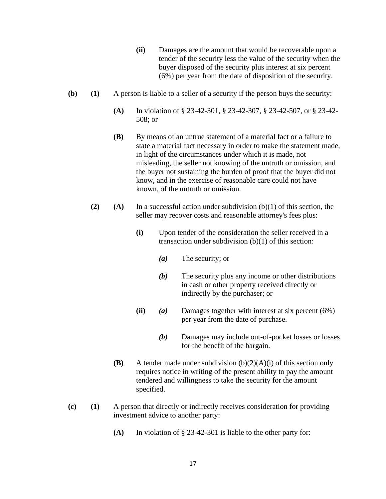- **(ii)** Damages are the amount that would be recoverable upon a tender of the security less the value of the security when the buyer disposed of the security plus interest at six percent (6%) per year from the date of disposition of the security.
- **(b) (1)** A person is liable to a seller of a security if the person buys the security:
	- **(A)** In violation of § 23-42-301, § 23-42-307, § 23-42-507, or § 23-42- 508; or
	- **(B)** By means of an untrue statement of a material fact or a failure to state a material fact necessary in order to make the statement made, in light of the circumstances under which it is made, not misleading, the seller not knowing of the untruth or omission, and the buyer not sustaining the burden of proof that the buyer did not know, and in the exercise of reasonable care could not have known, of the untruth or omission.
	- **(2) (A)** In a successful action under subdivision (b)(1) of this section, the seller may recover costs and reasonable attorney's fees plus:
		- **(i)** Upon tender of the consideration the seller received in a transaction under subdivision (b)(1) of this section:
			- *(a)* The security; or
			- *(b)* The security plus any income or other distributions in cash or other property received directly or indirectly by the purchaser; or
		- **(ii)** *(a)* Damages together with interest at six percent (6%) per year from the date of purchase.
			- *(b)* Damages may include out-of-pocket losses or losses for the benefit of the bargain.
		- **(B)** A tender made under subdivision (b)(2)(A)(i) of this section only requires notice in writing of the present ability to pay the amount tendered and willingness to take the security for the amount specified.
- **(c) (1)** A person that directly or indirectly receives consideration for providing investment advice to another party:
	- **(A)** In violation of § 23-42-301 is liable to the other party for: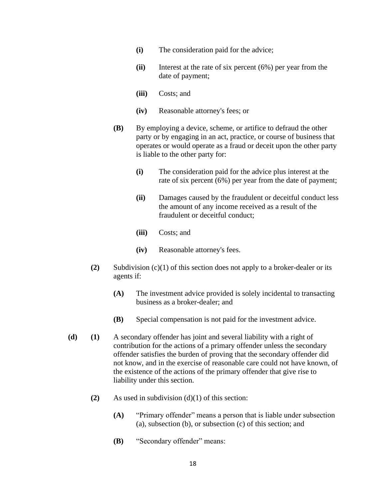- **(i)** The consideration paid for the advice;
- **(ii)** Interest at the rate of six percent (6%) per year from the date of payment;
- **(iii)** Costs; and
- **(iv)** Reasonable attorney's fees; or
- **(B)** By employing a device, scheme, or artifice to defraud the other party or by engaging in an act, practice, or course of business that operates or would operate as a fraud or deceit upon the other party is liable to the other party for:
	- **(i)** The consideration paid for the advice plus interest at the rate of six percent (6%) per year from the date of payment;
	- **(ii)** Damages caused by the fraudulent or deceitful conduct less the amount of any income received as a result of the fraudulent or deceitful conduct;
	- **(iii)** Costs; and
	- **(iv)** Reasonable attorney's fees.
- **(2)** Subdivision (c)(1) of this section does not apply to a broker-dealer or its agents if:
	- **(A)** The investment advice provided is solely incidental to transacting business as a broker-dealer; and
	- **(B)** Special compensation is not paid for the investment advice.
- **(d) (1)** A secondary offender has joint and several liability with a right of contribution for the actions of a primary offender unless the secondary offender satisfies the burden of proving that the secondary offender did not know, and in the exercise of reasonable care could not have known, of the existence of the actions of the primary offender that give rise to liability under this section.
	- **(2)** As used in subdivision (d)(1) of this section:
		- **(A)** "Primary offender" means a person that is liable under subsection (a), subsection (b), or subsection (c) of this section; and
		- **(B)** "Secondary offender" means: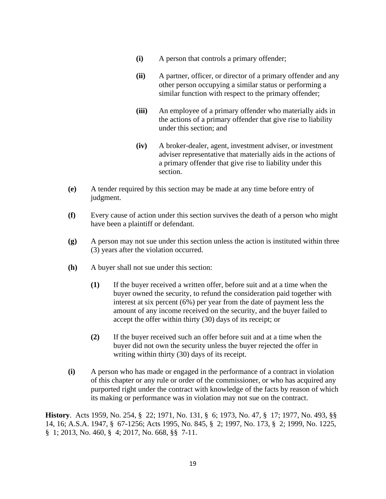- **(i)** A person that controls a primary offender;
- **(ii)** A partner, officer, or director of a primary offender and any other person occupying a similar status or performing a similar function with respect to the primary offender;
- **(iii)** An employee of a primary offender who materially aids in the actions of a primary offender that give rise to liability under this section; and
- **(iv)** A broker-dealer, agent, investment adviser, or investment adviser representative that materially aids in the actions of a primary offender that give rise to liability under this section.
- **(e)** A tender required by this section may be made at any time before entry of judgment.
- **(f)** Every cause of action under this section survives the death of a person who might have been a plaintiff or defendant.
- **(g)** A person may not sue under this section unless the action is instituted within three (3) years after the violation occurred.
- **(h)** A buyer shall not sue under this section:
	- **(1)** If the buyer received a written offer, before suit and at a time when the buyer owned the security, to refund the consideration paid together with interest at six percent (6%) per year from the date of payment less the amount of any income received on the security, and the buyer failed to accept the offer within thirty (30) days of its receipt; or
	- **(2)** If the buyer received such an offer before suit and at a time when the buyer did not own the security unless the buyer rejected the offer in writing within thirty (30) days of its receipt.
- **(i)** A person who has made or engaged in the performance of a contract in violation of this chapter or any rule or order of the commissioner, or who has acquired any purported right under the contract with knowledge of the facts by reason of which its making or performance was in violation may not sue on the contract.

**History**. Acts 1959, No. 254, § 22; 1971, No. 131, § 6; 1973, No. 47, § 17; 1977, No. 493, §§ 14, 16; A.S.A. 1947, § 67-1256; Acts 1995, No. 845, § 2; 1997, No. 173, § 2; 1999, No. 1225, § 1; 2013, No. 460, § 4; 2017, No. 668, §§ 7-11.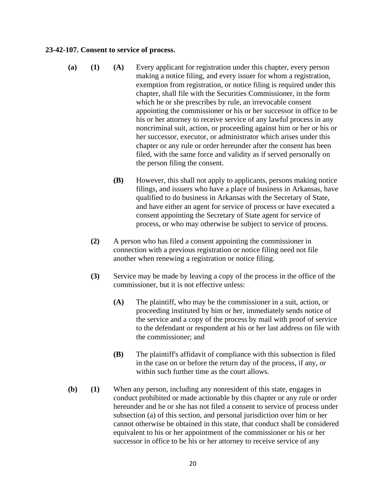#### **23-42-107. Consent to service of process.**

- **(a) (1) (A)** Every applicant for registration under this chapter, every person making a notice filing, and every issuer for whom a registration, exemption from registration, or notice filing is required under this chapter, shall file with the Securities Commissioner, in the form which he or she prescribes by rule, an irrevocable consent appointing the commissioner or his or her successor in office to be his or her attorney to receive service of any lawful process in any noncriminal suit, action, or proceeding against him or her or his or her successor, executor, or administrator which arises under this chapter or any rule or order hereunder after the consent has been filed, with the same force and validity as if served personally on the person filing the consent.
	- **(B)** However, this shall not apply to applicants, persons making notice filings, and issuers who have a place of business in Arkansas, have qualified to do business in Arkansas with the Secretary of State, and have either an agent for service of process or have executed a consent appointing the Secretary of State agent for service of process, or who may otherwise be subject to service of process.
	- **(2)** A person who has filed a consent appointing the commissioner in connection with a previous registration or notice filing need not file another when renewing a registration or notice filing.
	- **(3)** Service may be made by leaving a copy of the process in the office of the commissioner, but it is not effective unless:
		- **(A)** The plaintiff, who may be the commissioner in a suit, action, or proceeding instituted by him or her, immediately sends notice of the service and a copy of the process by mail with proof of service to the defendant or respondent at his or her last address on file with the commissioner; and
		- **(B)** The plaintiff's affidavit of compliance with this subsection is filed in the case on or before the return day of the process, if any, or within such further time as the court allows.
- **(b) (1)** When any person, including any nonresident of this state, engages in conduct prohibited or made actionable by this chapter or any rule or order hereunder and he or she has not filed a consent to service of process under subsection (a) of this section, and personal jurisdiction over him or her cannot otherwise be obtained in this state, that conduct shall be considered equivalent to his or her appointment of the commissioner or his or her successor in office to be his or her attorney to receive service of any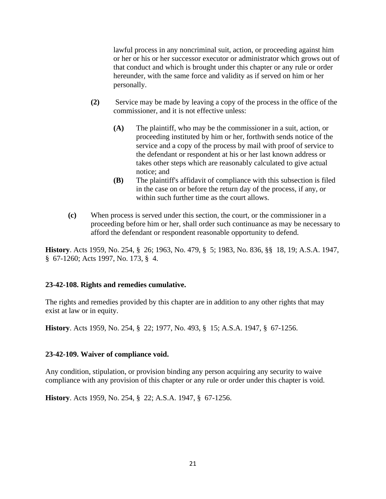lawful process in any noncriminal suit, action, or proceeding against him or her or his or her successor executor or administrator which grows out of that conduct and which is brought under this chapter or any rule or order hereunder, with the same force and validity as if served on him or her personally.

- **(2)** Service may be made by leaving a copy of the process in the office of the commissioner, and it is not effective unless:
	- **(A)** The plaintiff, who may be the commissioner in a suit, action, or proceeding instituted by him or her, forthwith sends notice of the service and a copy of the process by mail with proof of service to the defendant or respondent at his or her last known address or takes other steps which are reasonably calculated to give actual notice; and
	- **(B)** The plaintiff's affidavit of compliance with this subsection is filed in the case on or before the return day of the process, if any, or within such further time as the court allows.
- **(c)** When process is served under this section, the court, or the commissioner in a proceeding before him or her, shall order such continuance as may be necessary to afford the defendant or respondent reasonable opportunity to defend.

**History**. Acts 1959, No. 254, § 26; 1963, No. 479, § 5; 1983, No. 836, §§ 18, 19; A.S.A. 1947, § 67-1260; Acts 1997, No. 173, § 4.

### **23-42-108. Rights and remedies cumulative.**

The rights and remedies provided by this chapter are in addition to any other rights that may exist at law or in equity.

**History**. Acts 1959, No. 254, § 22; 1977, No. 493, § 15; A.S.A. 1947, § 67-1256.

### **23-42-109. Waiver of compliance void.**

Any condition, stipulation, or provision binding any person acquiring any security to waive compliance with any provision of this chapter or any rule or order under this chapter is void.

**History**. Acts 1959, No. 254, § 22; A.S.A. 1947, § 67-1256.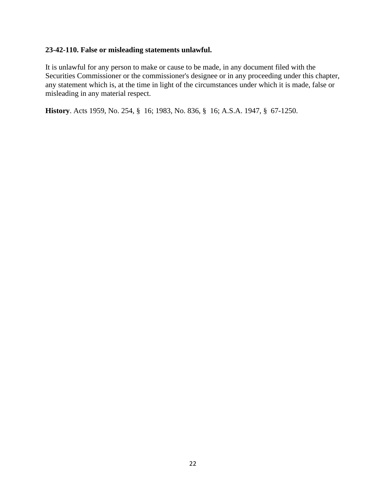## **23-42-110. False or misleading statements unlawful.**

It is unlawful for any person to make or cause to be made, in any document filed with the Securities Commissioner or the commissioner's designee or in any proceeding under this chapter, any statement which is, at the time in light of the circumstances under which it is made, false or misleading in any material respect.

**History**. Acts 1959, No. 254, § 16; 1983, No. 836, § 16; A.S.A. 1947, § 67-1250.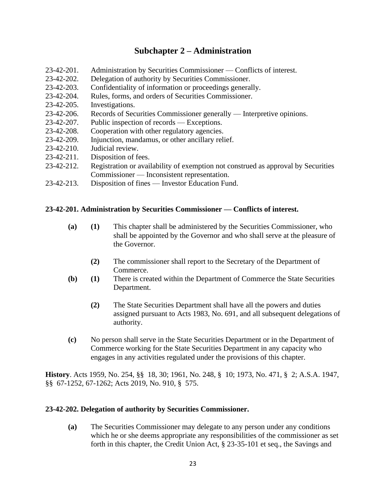# **Subchapter 2 – Administration**

- 23-42-201. Administration by Securities Commissioner Conflicts of interest.
- 23-42-202. Delegation of authority by Securities Commissioner.
- 23-42-203. Confidentiality of information or proceedings generally.
- 23-42-204. Rules, forms, and orders of Securities Commissioner.
- 23-42-205. Investigations.
- 23-42-206. Records of Securities Commissioner generally Interpretive opinions.
- 23-42-207. Public inspection of records Exceptions.
- 23-42-208. Cooperation with other regulatory agencies.
- 23-42-209. Injunction, mandamus, or other ancillary relief.
- 23-42-210. Judicial review.
- 23-42-211. Disposition of fees.
- 23-42-212. Registration or availability of exemption not construed as approval by Securities Commissioner — Inconsistent representation.
- 23-42-213. Disposition of fines Investor Education Fund.

#### **23-42-201. Administration by Securities Commissioner — Conflicts of interest.**

- **(a) (1)** This chapter shall be administered by the Securities Commissioner, who shall be appointed by the Governor and who shall serve at the pleasure of the Governor.
	- **(2)** The commissioner shall report to the Secretary of the Department of Commerce.
- **(b) (1)** There is created within the Department of Commerce the State Securities Department.
	- **(2)** The State Securities Department shall have all the powers and duties assigned pursuant to Acts 1983, No. 691, and all subsequent delegations of authority.
- **(c)** No person shall serve in the State Securities Department or in the Department of Commerce working for the State Securities Department in any capacity who engages in any activities regulated under the provisions of this chapter.

**History**. Acts 1959, No. 254, §§ 18, 30; 1961, No. 248, § 10; 1973, No. 471, § 2; A.S.A. 1947, §§ 67-1252, 67-1262; Acts 2019, No. 910, § 575.

### **23-42-202. Delegation of authority by Securities Commissioner.**

**(a)** The Securities Commissioner may delegate to any person under any conditions which he or she deems appropriate any responsibilities of the commissioner as set forth in this chapter, the Credit Union Act, § 23-35-101 et seq., the Savings and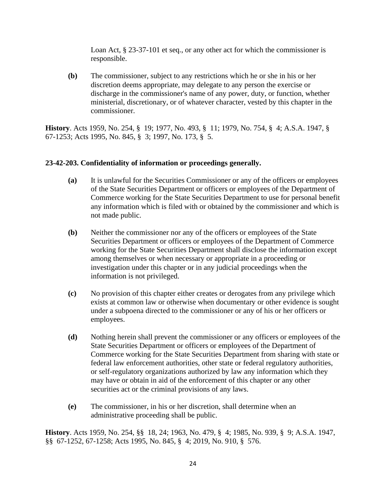Loan Act, § 23-37-101 et seq., or any other act for which the commissioner is responsible.

**(b)** The commissioner, subject to any restrictions which he or she in his or her discretion deems appropriate, may delegate to any person the exercise or discharge in the commissioner's name of any power, duty, or function, whether ministerial, discretionary, or of whatever character, vested by this chapter in the commissioner.

**History**. Acts 1959, No. 254, § 19; 1977, No. 493, § 11; 1979, No. 754, § 4; A.S.A. 1947, § 67-1253; Acts 1995, No. 845, § 3; 1997, No. 173, § 5.

### **23-42-203. Confidentiality of information or proceedings generally.**

- **(a)** It is unlawful for the Securities Commissioner or any of the officers or employees of the State Securities Department or officers or employees of the Department of Commerce working for the State Securities Department to use for personal benefit any information which is filed with or obtained by the commissioner and which is not made public.
- **(b)** Neither the commissioner nor any of the officers or employees of the State Securities Department or officers or employees of the Department of Commerce working for the State Securities Department shall disclose the information except among themselves or when necessary or appropriate in a proceeding or investigation under this chapter or in any judicial proceedings when the information is not privileged.
- **(c)** No provision of this chapter either creates or derogates from any privilege which exists at common law or otherwise when documentary or other evidence is sought under a subpoena directed to the commissioner or any of his or her officers or employees.
- **(d)** Nothing herein shall prevent the commissioner or any officers or employees of the State Securities Department or officers or employees of the Department of Commerce working for the State Securities Department from sharing with state or federal law enforcement authorities, other state or federal regulatory authorities, or self-regulatory organizations authorized by law any information which they may have or obtain in aid of the enforcement of this chapter or any other securities act or the criminal provisions of any laws.
- **(e)** The commissioner, in his or her discretion, shall determine when an administrative proceeding shall be public.

**History**. Acts 1959, No. 254, §§ 18, 24; 1963, No. 479, § 4; 1985, No. 939, § 9; A.S.A. 1947, §§ 67-1252, 67-1258; Acts 1995, No. 845, § 4; 2019, No. 910, § 576.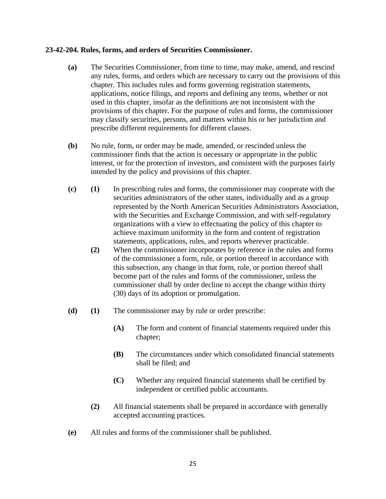#### **23-42-204. Rules, forms, and orders of Securities Commissioner.**

- **(a)** The Securities Commissioner, from time to time, may make, amend, and rescind any rules, forms, and orders which are necessary to carry out the provisions of this chapter. This includes rules and forms governing registration statements, applications, notice filings, and reports and defining any terms, whether or not used in this chapter, insofar as the definitions are not inconsistent with the provisions of this chapter. For the purpose of rules and forms, the commissioner may classify securities, persons, and matters within his or her jurisdiction and prescribe different requirements for different classes.
- **(b)** No rule, form, or order may be made, amended, or rescinded unless the commissioner finds that the action is necessary or appropriate in the public interest, or for the protection of investors, and consistent with the purposes fairly intended by the policy and provisions of this chapter.
- **(c) (1)** In prescribing rules and forms, the commissioner may cooperate with the securities administrators of the other states, individually and as a group represented by the North American Securities Administrators Association, with the Securities and Exchange Commission, and with self-regulatory organizations with a view to effectuating the policy of this chapter to achieve maximum uniformity in the form and content of registration statements, applications, rules, and reports wherever practicable.
	- **(2)** When the commissioner incorporates by reference in the rules and forms of the commissioner a form, rule, or portion thereof in accordance with this subsection, any change in that form, rule, or portion thereof shall become part of the rules and forms of the commissioner, unless the commissioner shall by order decline to accept the change within thirty (30) days of its adoption or promulgation.
- **(d) (1)** The commissioner may by rule or order prescribe:
	- **(A)** The form and content of financial statements required under this chapter;
	- **(B)** The circumstances under which consolidated financial statements shall be filed; and
	- **(C)** Whether any required financial statements shall be certified by independent or certified public accountants.
	- **(2)** All financial statements shall be prepared in accordance with generally accepted accounting practices.
- **(e)** All rules and forms of the commissioner shall be published.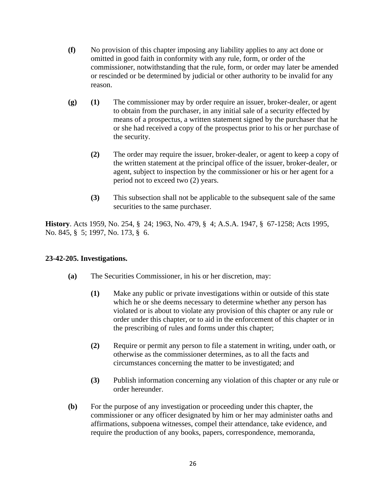- **(f)** No provision of this chapter imposing any liability applies to any act done or omitted in good faith in conformity with any rule, form, or order of the commissioner, notwithstanding that the rule, form, or order may later be amended or rescinded or be determined by judicial or other authority to be invalid for any reason.
- **(g) (1)** The commissioner may by order require an issuer, broker-dealer, or agent to obtain from the purchaser, in any initial sale of a security effected by means of a prospectus, a written statement signed by the purchaser that he or she had received a copy of the prospectus prior to his or her purchase of the security.
	- **(2)** The order may require the issuer, broker-dealer, or agent to keep a copy of the written statement at the principal office of the issuer, broker-dealer, or agent, subject to inspection by the commissioner or his or her agent for a period not to exceed two (2) years.
	- **(3)** This subsection shall not be applicable to the subsequent sale of the same securities to the same purchaser.

**History**. Acts 1959, No. 254, § 24; 1963, No. 479, § 4; A.S.A. 1947, § 67-1258; Acts 1995, No. 845, § 5; 1997, No. 173, § 6.

## **23-42-205. Investigations.**

- **(a)** The Securities Commissioner, in his or her discretion, may:
	- **(1)** Make any public or private investigations within or outside of this state which he or she deems necessary to determine whether any person has violated or is about to violate any provision of this chapter or any rule or order under this chapter, or to aid in the enforcement of this chapter or in the prescribing of rules and forms under this chapter;
	- **(2)** Require or permit any person to file a statement in writing, under oath, or otherwise as the commissioner determines, as to all the facts and circumstances concerning the matter to be investigated; and
	- **(3)** Publish information concerning any violation of this chapter or any rule or order hereunder.
- **(b)** For the purpose of any investigation or proceeding under this chapter, the commissioner or any officer designated by him or her may administer oaths and affirmations, subpoena witnesses, compel their attendance, take evidence, and require the production of any books, papers, correspondence, memoranda,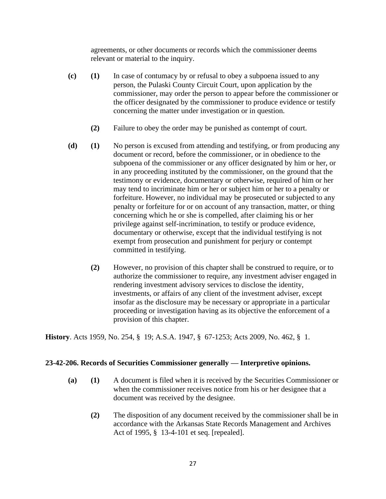agreements, or other documents or records which the commissioner deems relevant or material to the inquiry.

- **(c) (1)** In case of contumacy by or refusal to obey a subpoena issued to any person, the Pulaski County Circuit Court, upon application by the commissioner, may order the person to appear before the commissioner or the officer designated by the commissioner to produce evidence or testify concerning the matter under investigation or in question.
	- **(2)** Failure to obey the order may be punished as contempt of court.
- **(d) (1)** No person is excused from attending and testifying, or from producing any document or record, before the commissioner, or in obedience to the subpoena of the commissioner or any officer designated by him or her, or in any proceeding instituted by the commissioner, on the ground that the testimony or evidence, documentary or otherwise, required of him or her may tend to incriminate him or her or subject him or her to a penalty or forfeiture. However, no individual may be prosecuted or subjected to any penalty or forfeiture for or on account of any transaction, matter, or thing concerning which he or she is compelled, after claiming his or her privilege against self-incrimination, to testify or produce evidence, documentary or otherwise, except that the individual testifying is not exempt from prosecution and punishment for perjury or contempt committed in testifying.
	- **(2)** However, no provision of this chapter shall be construed to require, or to authorize the commissioner to require, any investment adviser engaged in rendering investment advisory services to disclose the identity, investments, or affairs of any client of the investment adviser, except insofar as the disclosure may be necessary or appropriate in a particular proceeding or investigation having as its objective the enforcement of a provision of this chapter.

**History**. Acts 1959, No. 254, § 19; A.S.A. 1947, § 67-1253; Acts 2009, No. 462, § 1.

### **23-42-206. Records of Securities Commissioner generally — Interpretive opinions.**

- **(a) (1)** A document is filed when it is received by the Securities Commissioner or when the commissioner receives notice from his or her designee that a document was received by the designee.
	- **(2)** The disposition of any document received by the commissioner shall be in accordance with the Arkansas State Records Management and Archives Act of 1995, § 13-4-101 et seq. [repealed].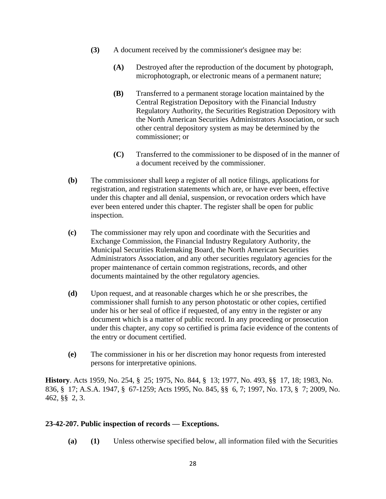- **(3)** A document received by the commissioner's designee may be:
	- **(A)** Destroyed after the reproduction of the document by photograph, microphotograph, or electronic means of a permanent nature;
	- **(B)** Transferred to a permanent storage location maintained by the Central Registration Depository with the Financial Industry Regulatory Authority, the Securities Registration Depository with the North American Securities Administrators Association, or such other central depository system as may be determined by the commissioner; or
	- **(C)** Transferred to the commissioner to be disposed of in the manner of a document received by the commissioner.
- **(b)** The commissioner shall keep a register of all notice filings, applications for registration, and registration statements which are, or have ever been, effective under this chapter and all denial, suspension, or revocation orders which have ever been entered under this chapter. The register shall be open for public inspection.
- **(c)** The commissioner may rely upon and coordinate with the Securities and Exchange Commission, the Financial Industry Regulatory Authority, the Municipal Securities Rulemaking Board, the North American Securities Administrators Association, and any other securities regulatory agencies for the proper maintenance of certain common registrations, records, and other documents maintained by the other regulatory agencies.
- **(d)** Upon request, and at reasonable charges which he or she prescribes, the commissioner shall furnish to any person photostatic or other copies, certified under his or her seal of office if requested, of any entry in the register or any document which is a matter of public record. In any proceeding or prosecution under this chapter, any copy so certified is prima facie evidence of the contents of the entry or document certified.
- **(e)** The commissioner in his or her discretion may honor requests from interested persons for interpretative opinions.

**History**. Acts 1959, No. 254, § 25; 1975, No. 844, § 13; 1977, No. 493, §§ 17, 18; 1983, No. 836, § 17; A.S.A. 1947, § 67-1259; Acts 1995, No. 845, §§ 6, 7; 1997, No. 173, § 7; 2009, No. 462, §§ 2, 3.

### **23-42-207. Public inspection of records — Exceptions.**

**(a) (1)** Unless otherwise specified below, all information filed with the Securities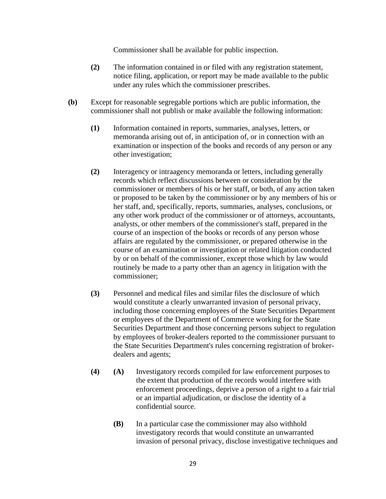Commissioner shall be available for public inspection.

- **(2)** The information contained in or filed with any registration statement, notice filing, application, or report may be made available to the public under any rules which the commissioner prescribes.
- **(b)** Except for reasonable segregable portions which are public information, the commissioner shall not publish or make available the following information:
	- **(1)** Information contained in reports, summaries, analyses, letters, or memoranda arising out of, in anticipation of, or in connection with an examination or inspection of the books and records of any person or any other investigation;
	- **(2)** Interagency or intraagency memoranda or letters, including generally records which reflect discussions between or consideration by the commissioner or members of his or her staff, or both, of any action taken or proposed to be taken by the commissioner or by any members of his or her staff, and, specifically, reports, summaries, analyses, conclusions, or any other work product of the commissioner or of attorneys, accountants, analysts, or other members of the commissioner's staff, prepared in the course of an inspection of the books or records of any person whose affairs are regulated by the commissioner, or prepared otherwise in the course of an examination or investigation or related litigation conducted by or on behalf of the commissioner, except those which by law would routinely be made to a party other than an agency in litigation with the commissioner;
	- **(3)** Personnel and medical files and similar files the disclosure of which would constitute a clearly unwarranted invasion of personal privacy, including those concerning employees of the State Securities Department or employees of the Department of Commerce working for the State Securities Department and those concerning persons subject to regulation by employees of broker-dealers reported to the commissioner pursuant to the State Securities Department's rules concerning registration of brokerdealers and agents;
	- **(4) (A)** Investigatory records compiled for law enforcement purposes to the extent that production of the records would interfere with enforcement proceedings, deprive a person of a right to a fair trial or an impartial adjudication, or disclose the identity of a confidential source.
		- **(B)** In a particular case the commissioner may also withhold investigatory records that would constitute an unwarranted invasion of personal privacy, disclose investigative techniques and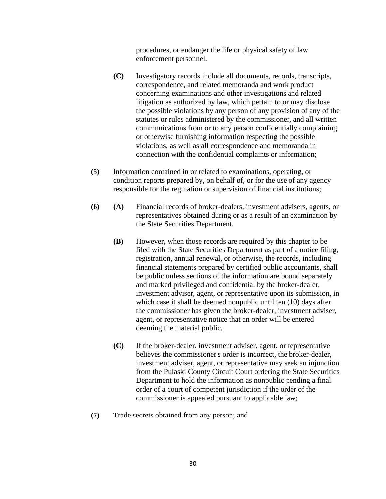procedures, or endanger the life or physical safety of law enforcement personnel.

- **(C)** Investigatory records include all documents, records, transcripts, correspondence, and related memoranda and work product concerning examinations and other investigations and related litigation as authorized by law, which pertain to or may disclose the possible violations by any person of any provision of any of the statutes or rules administered by the commissioner, and all written communications from or to any person confidentially complaining or otherwise furnishing information respecting the possible violations, as well as all correspondence and memoranda in connection with the confidential complaints or information;
- **(5)** Information contained in or related to examinations, operating, or condition reports prepared by, on behalf of, or for the use of any agency responsible for the regulation or supervision of financial institutions;
- **(6) (A)** Financial records of broker-dealers, investment advisers, agents, or representatives obtained during or as a result of an examination by the State Securities Department.
	- **(B)** However, when those records are required by this chapter to be filed with the State Securities Department as part of a notice filing, registration, annual renewal, or otherwise, the records, including financial statements prepared by certified public accountants, shall be public unless sections of the information are bound separately and marked privileged and confidential by the broker-dealer, investment adviser, agent, or representative upon its submission, in which case it shall be deemed nonpublic until ten (10) days after the commissioner has given the broker-dealer, investment adviser, agent, or representative notice that an order will be entered deeming the material public.
	- **(C)** If the broker-dealer, investment adviser, agent, or representative believes the commissioner's order is incorrect, the broker-dealer, investment adviser, agent, or representative may seek an injunction from the Pulaski County Circuit Court ordering the State Securities Department to hold the information as nonpublic pending a final order of a court of competent jurisdiction if the order of the commissioner is appealed pursuant to applicable law;
- **(7)** Trade secrets obtained from any person; and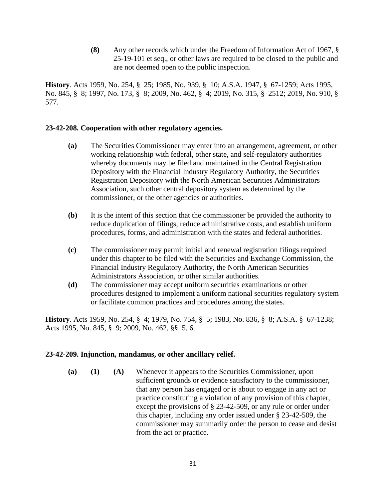**(8)** Any other records which under the Freedom of Information Act of 1967, § 25-19-101 et seq., or other laws are required to be closed to the public and are not deemed open to the public inspection.

**History**. Acts 1959, No. 254, § 25; 1985, No. 939, § 10; A.S.A. 1947, § 67-1259; Acts 1995, No. 845, § 8; 1997, No. 173, § 8; 2009, No. 462, § 4; 2019, No. 315, § 2512; 2019, No. 910, § 577.

#### **23-42-208. Cooperation with other regulatory agencies.**

- **(a)** The Securities Commissioner may enter into an arrangement, agreement, or other working relationship with federal, other state, and self-regulatory authorities whereby documents may be filed and maintained in the Central Registration Depository with the Financial Industry Regulatory Authority, the Securities Registration Depository with the North American Securities Administrators Association, such other central depository system as determined by the commissioner, or the other agencies or authorities.
- **(b)** It is the intent of this section that the commissioner be provided the authority to reduce duplication of filings, reduce administrative costs, and establish uniform procedures, forms, and administration with the states and federal authorities.
- **(c)** The commissioner may permit initial and renewal registration filings required under this chapter to be filed with the Securities and Exchange Commission, the Financial Industry Regulatory Authority, the North American Securities Administrators Association, or other similar authorities.
- **(d)** The commissioner may accept uniform securities examinations or other procedures designed to implement a uniform national securities regulatory system or facilitate common practices and procedures among the states.

**History**. Acts 1959, No. 254, § 4; 1979, No. 754, § 5; 1983, No. 836, § 8; A.S.A. § 67-1238; Acts 1995, No. 845, § 9; 2009, No. 462, §§ 5, 6.

### **23-42-209. Injunction, mandamus, or other ancillary relief.**

**(a) (1) (A)** Whenever it appears to the Securities Commissioner, upon sufficient grounds or evidence satisfactory to the commissioner, that any person has engaged or is about to engage in any act or practice constituting a violation of any provision of this chapter, except the provisions of § 23-42-509, or any rule or order under this chapter, including any order issued under § 23-42-509, the commissioner may summarily order the person to cease and desist from the act or practice.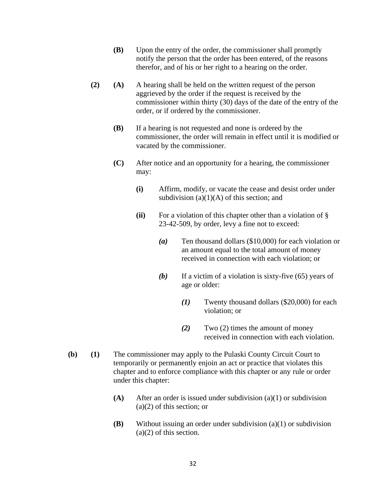- **(B)** Upon the entry of the order, the commissioner shall promptly notify the person that the order has been entered, of the reasons therefor, and of his or her right to a hearing on the order.
- **(2) (A)** A hearing shall be held on the written request of the person aggrieved by the order if the request is received by the commissioner within thirty (30) days of the date of the entry of the order, or if ordered by the commissioner.
	- **(B)** If a hearing is not requested and none is ordered by the commissioner, the order will remain in effect until it is modified or vacated by the commissioner.
	- **(C)** After notice and an opportunity for a hearing, the commissioner may:
		- **(i)** Affirm, modify, or vacate the cease and desist order under subdivision  $(a)(1)(A)$  of this section; and
		- **(ii)** For a violation of this chapter other than a violation of § 23-42-509, by order, levy a fine not to exceed:
			- *(a)* Ten thousand dollars (\$10,000) for each violation or an amount equal to the total amount of money received in connection with each violation; or
			- *(b)* If a victim of a violation is sixty-five (65) years of age or older:
				- *(1)* Twenty thousand dollars (\$20,000) for each violation; or
				- *(2)* Two (2) times the amount of money received in connection with each violation.
- **(b) (1)** The commissioner may apply to the Pulaski County Circuit Court to temporarily or permanently enjoin an act or practice that violates this chapter and to enforce compliance with this chapter or any rule or order under this chapter:
	- **(A)** After an order is issued under subdivision (a)(1) or subdivision (a)(2) of this section; or
	- **(B)** Without issuing an order under subdivision (a)(1) or subdivision (a)(2) of this section.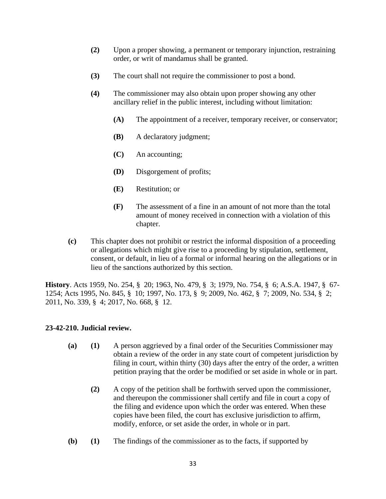- **(2)** Upon a proper showing, a permanent or temporary injunction, restraining order, or writ of mandamus shall be granted.
- **(3)** The court shall not require the commissioner to post a bond.
- **(4)** The commissioner may also obtain upon proper showing any other ancillary relief in the public interest, including without limitation:
	- **(A)** The appointment of a receiver, temporary receiver, or conservator;
	- **(B)** A declaratory judgment;
	- **(C)** An accounting;
	- **(D)** Disgorgement of profits;
	- **(E)** Restitution; or
	- **(F)** The assessment of a fine in an amount of not more than the total amount of money received in connection with a violation of this chapter.
- **(c)** This chapter does not prohibit or restrict the informal disposition of a proceeding or allegations which might give rise to a proceeding by stipulation, settlement, consent, or default, in lieu of a formal or informal hearing on the allegations or in lieu of the sanctions authorized by this section.

**History**. Acts 1959, No. 254, § 20; 1963, No. 479, § 3; 1979, No. 754, § 6; A.S.A. 1947, § 67- 1254; Acts 1995, No. 845, § 10; 1997, No. 173, § 9; 2009, No. 462, § 7; 2009, No. 534, § 2; 2011, No. 339, § 4; 2017, No. 668, § 12.

### **23-42-210. Judicial review.**

- **(a) (1)** A person aggrieved by a final order of the Securities Commissioner may obtain a review of the order in any state court of competent jurisdiction by filing in court, within thirty (30) days after the entry of the order, a written petition praying that the order be modified or set aside in whole or in part.
	- **(2)** A copy of the petition shall be forthwith served upon the commissioner, and thereupon the commissioner shall certify and file in court a copy of the filing and evidence upon which the order was entered. When these copies have been filed, the court has exclusive jurisdiction to affirm, modify, enforce, or set aside the order, in whole or in part.
- **(b) (1)** The findings of the commissioner as to the facts, if supported by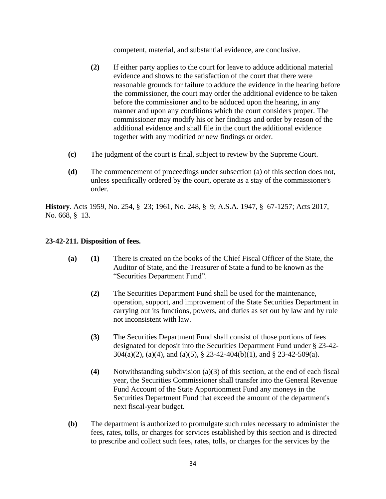competent, material, and substantial evidence, are conclusive.

- **(2)** If either party applies to the court for leave to adduce additional material evidence and shows to the satisfaction of the court that there were reasonable grounds for failure to adduce the evidence in the hearing before the commissioner, the court may order the additional evidence to be taken before the commissioner and to be adduced upon the hearing, in any manner and upon any conditions which the court considers proper. The commissioner may modify his or her findings and order by reason of the additional evidence and shall file in the court the additional evidence together with any modified or new findings or order.
- **(c)** The judgment of the court is final, subject to review by the Supreme Court.
- **(d)** The commencement of proceedings under subsection (a) of this section does not, unless specifically ordered by the court, operate as a stay of the commissioner's order.

**History**. Acts 1959, No. 254, § 23; 1961, No. 248, § 9; A.S.A. 1947, § 67-1257; Acts 2017, No. 668, § 13.

## **23-42-211. Disposition of fees.**

- **(a) (1)** There is created on the books of the Chief Fiscal Officer of the State, the Auditor of State, and the Treasurer of State a fund to be known as the "Securities Department Fund".
	- **(2)** The Securities Department Fund shall be used for the maintenance, operation, support, and improvement of the State Securities Department in carrying out its functions, powers, and duties as set out by law and by rule not inconsistent with law.
	- **(3)** The Securities Department Fund shall consist of those portions of fees designated for deposit into the Securities Department Fund under § 23-42- 304(a)(2), (a)(4), and (a)(5), § 23-42-404(b)(1), and § 23-42-509(a).
	- **(4)** Notwithstanding subdivision (a)(3) of this section, at the end of each fiscal year, the Securities Commissioner shall transfer into the General Revenue Fund Account of the State Apportionment Fund any moneys in the Securities Department Fund that exceed the amount of the department's next fiscal-year budget.
- **(b)** The department is authorized to promulgate such rules necessary to administer the fees, rates, tolls, or charges for services established by this section and is directed to prescribe and collect such fees, rates, tolls, or charges for the services by the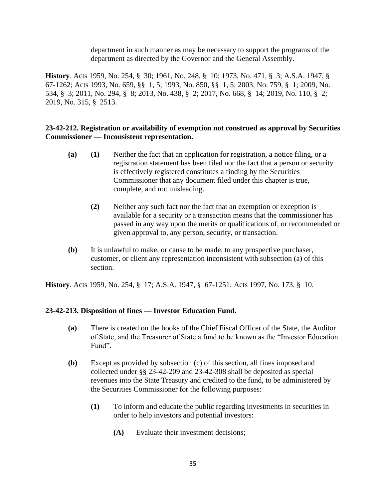department in such manner as may be necessary to support the programs of the department as directed by the Governor and the General Assembly.

**History**. Acts 1959, No. 254, § 30; 1961, No. 248, § 10; 1973, No. 471, § 3; A.S.A. 1947, § 67-1262; Acts 1993, No. 659, §§ 1, 5; 1993, No. 850, §§ 1, 5; 2003, No. 759, § 1; 2009, No. 534, § 3; 2011, No. 294, § 8; 2013, No. 438, § 2; 2017, No. 668, § 14; 2019, No. 110, § 2; 2019, No. 315, § 2513.

### **23-42-212. Registration or availability of exemption not construed as approval by Securities Commissioner — Inconsistent representation.**

- **(a) (1)** Neither the fact that an application for registration, a notice filing, or a registration statement has been filed nor the fact that a person or security is effectively registered constitutes a finding by the Securities Commissioner that any document filed under this chapter is true, complete, and not misleading.
	- **(2)** Neither any such fact nor the fact that an exemption or exception is available for a security or a transaction means that the commissioner has passed in any way upon the merits or qualifications of, or recommended or given approval to, any person, security, or transaction.
- **(b)** It is unlawful to make, or cause to be made, to any prospective purchaser, customer, or client any representation inconsistent with subsection (a) of this section.

**History**. Acts 1959, No. 254, § 17; A.S.A. 1947, § 67-1251; Acts 1997, No. 173, § 10.

#### **23-42-213. Disposition of fines — Investor Education Fund.**

- **(a)** There is created on the books of the Chief Fiscal Officer of the State, the Auditor of State, and the Treasurer of State a fund to be known as the "Investor Education Fund".
- **(b)** Except as provided by subsection (c) of this section, all fines imposed and collected under §§ 23-42-209 and 23-42-308 shall be deposited as special revenues into the State Treasury and credited to the fund, to be administered by the Securities Commissioner for the following purposes:
	- **(1)** To inform and educate the public regarding investments in securities in order to help investors and potential investors:
		- **(A)** Evaluate their investment decisions;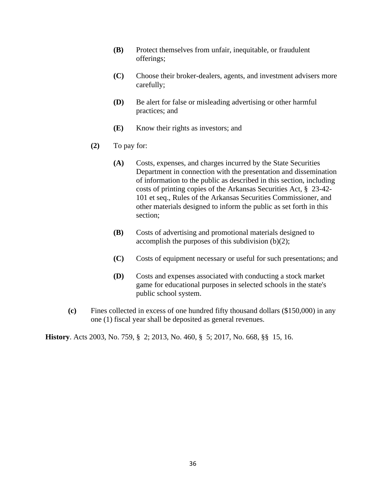- **(B)** Protect themselves from unfair, inequitable, or fraudulent offerings;
- **(C)** Choose their broker-dealers, agents, and investment advisers more carefully;
- **(D)** Be alert for false or misleading advertising or other harmful practices; and
- **(E)** Know their rights as investors; and
- **(2)** To pay for:
	- **(A)** Costs, expenses, and charges incurred by the State Securities Department in connection with the presentation and dissemination of information to the public as described in this section, including costs of printing copies of the Arkansas Securities Act, § 23-42- 101 et seq., Rules of the Arkansas Securities Commissioner, and other materials designed to inform the public as set forth in this section;
	- **(B)** Costs of advertising and promotional materials designed to accomplish the purposes of this subdivision (b)(2);
	- **(C)** Costs of equipment necessary or useful for such presentations; and
	- **(D)** Costs and expenses associated with conducting a stock market game for educational purposes in selected schools in the state's public school system.
- **(c)** Fines collected in excess of one hundred fifty thousand dollars (\$150,000) in any one (1) fiscal year shall be deposited as general revenues.

**History**. Acts 2003, No. 759, § 2; 2013, No. 460, § 5; 2017, No. 668, §§ 15, 16.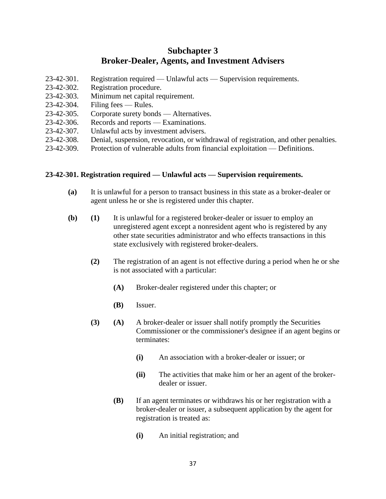# **Subchapter 3 Broker-Dealer, Agents, and Investment Advisers**

- 23-42-301. Registration required Unlawful acts Supervision requirements.
- 23-42-302. Registration procedure.
- 23-42-303. Minimum net capital requirement.
- 23-42-304. Filing fees Rules.
- 23-42-305. Corporate surety bonds Alternatives.
- 23-42-306. Records and reports Examinations.
- 23-42-307. Unlawful acts by investment advisers.
- 23-42-308. Denial, suspension, revocation, or withdrawal of registration, and other penalties.
- 23-42-309. Protection of vulnerable adults from financial exploitation Definitions.

#### **23-42-301. Registration required — Unlawful acts — Supervision requirements.**

- **(a)** It is unlawful for a person to transact business in this state as a broker-dealer or agent unless he or she is registered under this chapter.
- **(b) (1)** It is unlawful for a registered broker-dealer or issuer to employ an unregistered agent except a nonresident agent who is registered by any other state securities administrator and who effects transactions in this state exclusively with registered broker-dealers.
	- **(2)** The registration of an agent is not effective during a period when he or she is not associated with a particular:
		- **(A)** Broker-dealer registered under this chapter; or
		- **(B)** Issuer.
	- **(3) (A)** A broker-dealer or issuer shall notify promptly the Securities Commissioner or the commissioner's designee if an agent begins or terminates:
		- **(i)** An association with a broker-dealer or issuer; or
		- **(ii)** The activities that make him or her an agent of the brokerdealer or issuer.
		- **(B)** If an agent terminates or withdraws his or her registration with a broker-dealer or issuer, a subsequent application by the agent for registration is treated as:
			- **(i)** An initial registration; and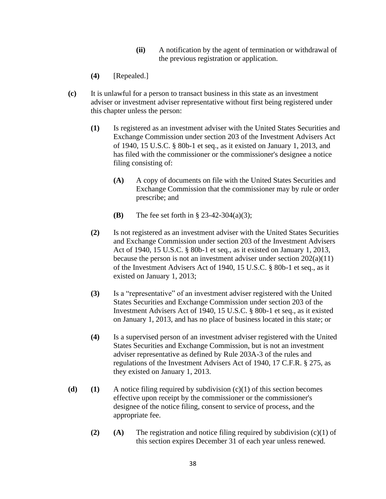- **(ii)** A notification by the agent of termination or withdrawal of the previous registration or application.
- **(4)** [Repealed.]
- **(c)** It is unlawful for a person to transact business in this state as an investment adviser or investment adviser representative without first being registered under this chapter unless the person:
	- **(1)** Is registered as an investment adviser with the United States Securities and Exchange Commission under section 203 of the Investment Advisers Act of 1940, 15 U.S.C. § 80b-1 et seq., as it existed on January 1, 2013, and has filed with the commissioner or the commissioner's designee a notice filing consisting of:
		- **(A)** A copy of documents on file with the United States Securities and Exchange Commission that the commissioner may by rule or order prescribe; and
		- **(B)** The fee set forth in § 23-42-304(a)(3);
	- **(2)** Is not registered as an investment adviser with the United States Securities and Exchange Commission under section 203 of the Investment Advisers Act of 1940, 15 U.S.C. § 80b-1 et seq., as it existed on January 1, 2013, because the person is not an investment adviser under section  $202(a)(11)$ of the Investment Advisers Act of 1940, 15 U.S.C. § 80b-1 et seq., as it existed on January 1, 2013;
	- **(3)** Is a "representative" of an investment adviser registered with the United States Securities and Exchange Commission under section 203 of the Investment Advisers Act of 1940, 15 U.S.C. § 80b-1 et seq., as it existed on January 1, 2013, and has no place of business located in this state; or
	- **(4)** Is a supervised person of an investment adviser registered with the United States Securities and Exchange Commission, but is not an investment adviser representative as defined by Rule 203A-3 of the rules and regulations of the Investment Advisers Act of 1940, 17 C.F.R. § 275, as they existed on January 1, 2013.
- **(d) (1)** A notice filing required by subdivision (c)(1) of this section becomes effective upon receipt by the commissioner or the commissioner's designee of the notice filing, consent to service of process, and the appropriate fee.
	- **(2) (A)** The registration and notice filing required by subdivision (c)(1) of this section expires December 31 of each year unless renewed.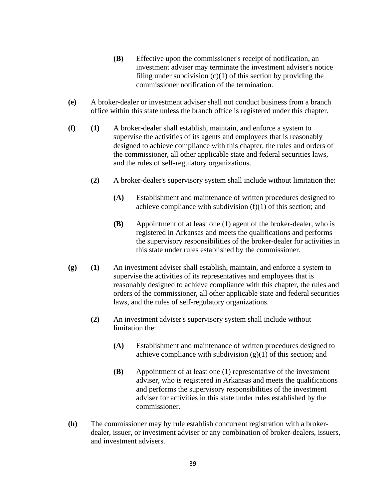- **(B)** Effective upon the commissioner's receipt of notification, an investment adviser may terminate the investment adviser's notice filing under subdivision  $(c)(1)$  of this section by providing the commissioner notification of the termination.
- **(e)** A broker-dealer or investment adviser shall not conduct business from a branch office within this state unless the branch office is registered under this chapter.
- **(f) (1)** A broker-dealer shall establish, maintain, and enforce a system to supervise the activities of its agents and employees that is reasonably designed to achieve compliance with this chapter, the rules and orders of the commissioner, all other applicable state and federal securities laws, and the rules of self-regulatory organizations.
	- **(2)** A broker-dealer's supervisory system shall include without limitation the:
		- **(A)** Establishment and maintenance of written procedures designed to achieve compliance with subdivision  $(f)(1)$  of this section; and
		- **(B)** Appointment of at least one (1) agent of the broker-dealer, who is registered in Arkansas and meets the qualifications and performs the supervisory responsibilities of the broker-dealer for activities in this state under rules established by the commissioner.
- **(g) (1)** An investment adviser shall establish, maintain, and enforce a system to supervise the activities of its representatives and employees that is reasonably designed to achieve compliance with this chapter, the rules and orders of the commissioner, all other applicable state and federal securities laws, and the rules of self-regulatory organizations.
	- **(2)** An investment adviser's supervisory system shall include without limitation the:
		- **(A)** Establishment and maintenance of written procedures designed to achieve compliance with subdivision  $(g)(1)$  of this section; and
		- **(B)** Appointment of at least one (1) representative of the investment adviser, who is registered in Arkansas and meets the qualifications and performs the supervisory responsibilities of the investment adviser for activities in this state under rules established by the commissioner.
- **(h)** The commissioner may by rule establish concurrent registration with a brokerdealer, issuer, or investment adviser or any combination of broker-dealers, issuers, and investment advisers.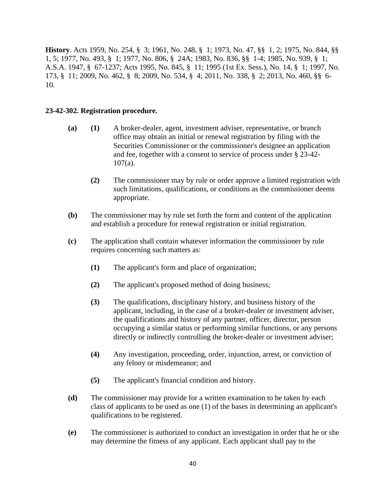**History**. Acts 1959, No. 254, § 3; 1961, No. 248, § 1; 1973, No. 47, §§ 1, 2; 1975, No. 844, §§ 1, 5; 1977, No. 493, § 1; 1977, No. 806, § 24A; 1983, No. 836, §§ 1-4; 1985, No. 939, § 1; A.S.A. 1947, § 67-1237; Acts 1995, No. 845, § 11; 1995 (1st Ex. Sess.), No. 14, § 1; 1997, No. 173, § 11; 2009, No. 462, § 8; 2009, No. 534, § 4; 2011, No. 338, § 2; 2013, No. 460, §§ 6- 10.

#### **23-42-302. Registration procedure.**

- **(a) (1)** A broker-dealer, agent, investment adviser, representative, or branch office may obtain an initial or renewal registration by filing with the Securities Commissioner or the commissioner's designee an application and fee, together with a consent to service of process under § 23-42-  $107(a)$ .
	- **(2)** The commissioner may by rule or order approve a limited registration with such limitations, qualifications, or conditions as the commissioner deems appropriate.
- **(b)** The commissioner may by rule set forth the form and content of the application and establish a procedure for renewal registration or initial registration.
- **(c)** The application shall contain whatever information the commissioner by rule requires concerning such matters as:
	- **(1)** The applicant's form and place of organization;
	- **(2)** The applicant's proposed method of doing business;
	- **(3)** The qualifications, disciplinary history, and business history of the applicant, including, in the case of a broker-dealer or investment adviser, the qualifications and history of any partner, officer, director, person occupying a similar status or performing similar functions, or any persons directly or indirectly controlling the broker-dealer or investment adviser;
	- **(4)** Any investigation, proceeding, order, injunction, arrest, or conviction of any felony or misdemeanor; and
	- **(5)** The applicant's financial condition and history.
- **(d)** The commissioner may provide for a written examination to be taken by each class of applicants to be used as one (1) of the bases in determining an applicant's qualifications to be registered.
- **(e)** The commissioner is authorized to conduct an investigation in order that he or she may determine the fitness of any applicant. Each applicant shall pay to the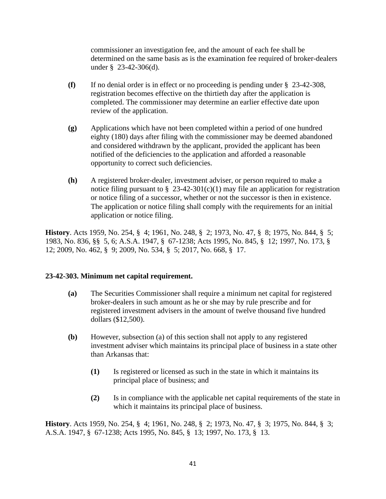commissioner an investigation fee, and the amount of each fee shall be determined on the same basis as is the examination fee required of broker-dealers under § 23-42-306(d).

- **(f)** If no denial order is in effect or no proceeding is pending under § 23-42-308, registration becomes effective on the thirtieth day after the application is completed. The commissioner may determine an earlier effective date upon review of the application.
- **(g)** Applications which have not been completed within a period of one hundred eighty (180) days after filing with the commissioner may be deemed abandoned and considered withdrawn by the applicant, provided the applicant has been notified of the deficiencies to the application and afforded a reasonable opportunity to correct such deficiencies.
- **(h)** A registered broker-dealer, investment adviser, or person required to make a notice filing pursuant to  $\S$  23-42-301(c)(1) may file an application for registration or notice filing of a successor, whether or not the successor is then in existence. The application or notice filing shall comply with the requirements for an initial application or notice filing.

**History**. Acts 1959, No. 254, § 4; 1961, No. 248, § 2; 1973, No. 47, § 8; 1975, No. 844, § 5; 1983, No. 836, §§ 5, 6; A.S.A. 1947, § 67-1238; Acts 1995, No. 845, § 12; 1997, No. 173, § 12; 2009, No. 462, § 9; 2009, No. 534, § 5; 2017, No. 668, § 17.

#### **23-42-303. Minimum net capital requirement.**

- **(a)** The Securities Commissioner shall require a minimum net capital for registered broker-dealers in such amount as he or she may by rule prescribe and for registered investment advisers in the amount of twelve thousand five hundred dollars (\$12,500).
- **(b)** However, subsection (a) of this section shall not apply to any registered investment adviser which maintains its principal place of business in a state other than Arkansas that:
	- **(1)** Is registered or licensed as such in the state in which it maintains its principal place of business; and
	- **(2)** Is in compliance with the applicable net capital requirements of the state in which it maintains its principal place of business.

**History**. Acts 1959, No. 254, § 4; 1961, No. 248, § 2; 1973, No. 47, § 3; 1975, No. 844, § 3; A.S.A. 1947, § 67-1238; Acts 1995, No. 845, § 13; 1997, No. 173, § 13.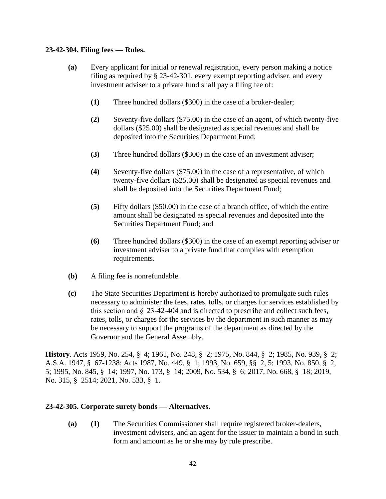#### **23-42-304. Filing fees — Rules.**

- **(a)** Every applicant for initial or renewal registration, every person making a notice filing as required by § 23-42-301, every exempt reporting adviser, and every investment adviser to a private fund shall pay a filing fee of:
	- **(1)** Three hundred dollars (\$300) in the case of a broker-dealer;
	- **(2)** Seventy-five dollars (\$75.00) in the case of an agent, of which twenty-five dollars (\$25.00) shall be designated as special revenues and shall be deposited into the Securities Department Fund;
	- **(3)** Three hundred dollars (\$300) in the case of an investment adviser;
	- **(4)** Seventy-five dollars (\$75.00) in the case of a representative, of which twenty-five dollars (\$25.00) shall be designated as special revenues and shall be deposited into the Securities Department Fund;
	- **(5)** Fifty dollars (\$50.00) in the case of a branch office, of which the entire amount shall be designated as special revenues and deposited into the Securities Department Fund; and
	- **(6)** Three hundred dollars (\$300) in the case of an exempt reporting adviser or investment adviser to a private fund that complies with exemption requirements.
- **(b)** A filing fee is nonrefundable.
- **(c)** The State Securities Department is hereby authorized to promulgate such rules necessary to administer the fees, rates, tolls, or charges for services established by this section and  $\S$  23-42-404 and is directed to prescribe and collect such fees, rates, tolls, or charges for the services by the department in such manner as may be necessary to support the programs of the department as directed by the Governor and the General Assembly.

**History**. Acts 1959, No. 254, § 4; 1961, No. 248, § 2; 1975, No. 844, § 2; 1985, No. 939, § 2; A.S.A. 1947, § 67-1238; Acts 1987, No. 449, § 1; 1993, No. 659, §§ 2, 5; 1993, No. 850, § 2, 5; 1995, No. 845, § 14; 1997, No. 173, § 14; 2009, No. 534, § 6; 2017, No. 668, § 18; 2019, No. 315, § 2514; 2021, No. 533, § 1.

#### **23-42-305. Corporate surety bonds — Alternatives.**

**(a) (1)** The Securities Commissioner shall require registered broker-dealers, investment advisers, and an agent for the issuer to maintain a bond in such form and amount as he or she may by rule prescribe.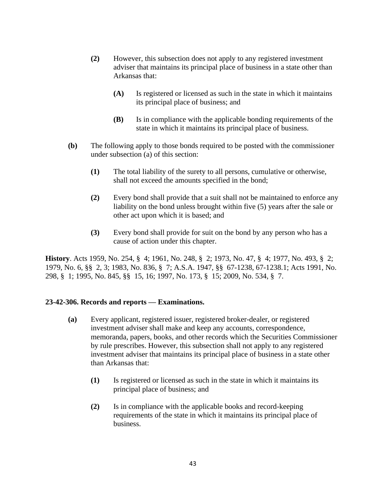- **(2)** However, this subsection does not apply to any registered investment adviser that maintains its principal place of business in a state other than Arkansas that:
	- **(A)** Is registered or licensed as such in the state in which it maintains its principal place of business; and
	- **(B)** Is in compliance with the applicable bonding requirements of the state in which it maintains its principal place of business.
- **(b)** The following apply to those bonds required to be posted with the commissioner under subsection (a) of this section:
	- **(1)** The total liability of the surety to all persons, cumulative or otherwise, shall not exceed the amounts specified in the bond;
	- **(2)** Every bond shall provide that a suit shall not be maintained to enforce any liability on the bond unless brought within five (5) years after the sale or other act upon which it is based; and
	- **(3)** Every bond shall provide for suit on the bond by any person who has a cause of action under this chapter.

**History**. Acts 1959, No. 254, § 4; 1961, No. 248, § 2; 1973, No. 47, § 4; 1977, No. 493, § 2; 1979, No. 6, §§ 2, 3; 1983, No. 836, § 7; A.S.A. 1947, §§ 67-1238, 67-1238.1; Acts 1991, No. 298, § 1; 1995, No. 845, §§ 15, 16; 1997, No. 173, § 15; 2009, No. 534, § 7.

#### **23-42-306. Records and reports — Examinations.**

- **(a)** Every applicant, registered issuer, registered broker-dealer, or registered investment adviser shall make and keep any accounts, correspondence, memoranda, papers, books, and other records which the Securities Commissioner by rule prescribes. However, this subsection shall not apply to any registered investment adviser that maintains its principal place of business in a state other than Arkansas that:
	- **(1)** Is registered or licensed as such in the state in which it maintains its principal place of business; and
	- **(2)** Is in compliance with the applicable books and record-keeping requirements of the state in which it maintains its principal place of business.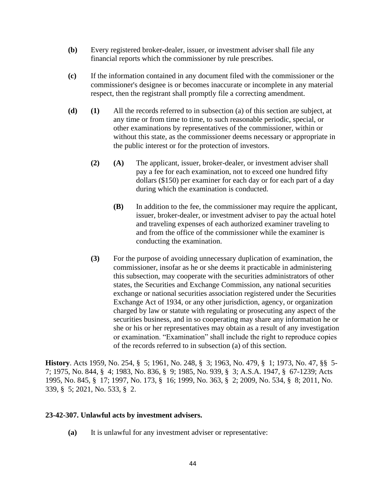- **(b)** Every registered broker-dealer, issuer, or investment adviser shall file any financial reports which the commissioner by rule prescribes.
- **(c)** If the information contained in any document filed with the commissioner or the commissioner's designee is or becomes inaccurate or incomplete in any material respect, then the registrant shall promptly file a correcting amendment.
- **(d) (1)** All the records referred to in subsection (a) of this section are subject, at any time or from time to time, to such reasonable periodic, special, or other examinations by representatives of the commissioner, within or without this state, as the commissioner deems necessary or appropriate in the public interest or for the protection of investors.
	- **(2) (A)** The applicant, issuer, broker-dealer, or investment adviser shall pay a fee for each examination, not to exceed one hundred fifty dollars (\$150) per examiner for each day or for each part of a day during which the examination is conducted.
		- **(B)** In addition to the fee, the commissioner may require the applicant, issuer, broker-dealer, or investment adviser to pay the actual hotel and traveling expenses of each authorized examiner traveling to and from the office of the commissioner while the examiner is conducting the examination.
	- **(3)** For the purpose of avoiding unnecessary duplication of examination, the commissioner, insofar as he or she deems it practicable in administering this subsection, may cooperate with the securities administrators of other states, the Securities and Exchange Commission, any national securities exchange or national securities association registered under the Securities Exchange Act of 1934, or any other jurisdiction, agency, or organization charged by law or statute with regulating or prosecuting any aspect of the securities business, and in so cooperating may share any information he or she or his or her representatives may obtain as a result of any investigation or examination. "Examination" shall include the right to reproduce copies of the records referred to in subsection (a) of this section.

**History**. Acts 1959, No. 254, § 5; 1961, No. 248, § 3; 1963, No. 479, § 1; 1973, No. 47, §§ 5- 7; 1975, No. 844, § 4; 1983, No. 836, § 9; 1985, No. 939, § 3; A.S.A. 1947, § 67-1239; Acts 1995, No. 845, § 17; 1997, No. 173, § 16; 1999, No. 363, § 2; 2009, No. 534, § 8; 2011, No. 339, § 5; 2021, No. 533, § 2.

#### **23-42-307. Unlawful acts by investment advisers.**

**(a)** It is unlawful for any investment adviser or representative: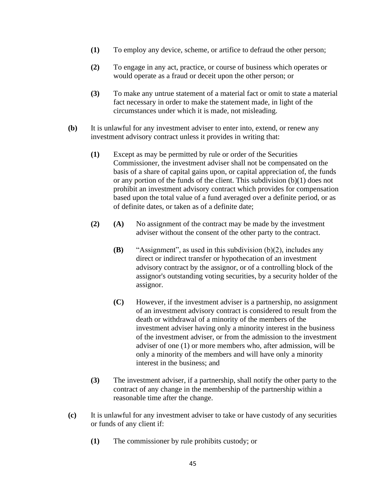- **(1)** To employ any device, scheme, or artifice to defraud the other person;
- **(2)** To engage in any act, practice, or course of business which operates or would operate as a fraud or deceit upon the other person; or
- **(3)** To make any untrue statement of a material fact or omit to state a material fact necessary in order to make the statement made, in light of the circumstances under which it is made, not misleading.
- **(b)** It is unlawful for any investment adviser to enter into, extend, or renew any investment advisory contract unless it provides in writing that:
	- **(1)** Except as may be permitted by rule or order of the Securities Commissioner, the investment adviser shall not be compensated on the basis of a share of capital gains upon, or capital appreciation of, the funds or any portion of the funds of the client. This subdivision (b)(1) does not prohibit an investment advisory contract which provides for compensation based upon the total value of a fund averaged over a definite period, or as of definite dates, or taken as of a definite date;
	- **(2) (A)** No assignment of the contract may be made by the investment adviser without the consent of the other party to the contract.
		- **(B)** "Assignment", as used in this subdivision (b)(2), includes any direct or indirect transfer or hypothecation of an investment advisory contract by the assignor, or of a controlling block of the assignor's outstanding voting securities, by a security holder of the assignor.
		- **(C)** However, if the investment adviser is a partnership, no assignment of an investment advisory contract is considered to result from the death or withdrawal of a minority of the members of the investment adviser having only a minority interest in the business of the investment adviser, or from the admission to the investment adviser of one (1) or more members who, after admission, will be only a minority of the members and will have only a minority interest in the business; and
	- **(3)** The investment adviser, if a partnership, shall notify the other party to the contract of any change in the membership of the partnership within a reasonable time after the change.
- **(c)** It is unlawful for any investment adviser to take or have custody of any securities or funds of any client if:
	- **(1)** The commissioner by rule prohibits custody; or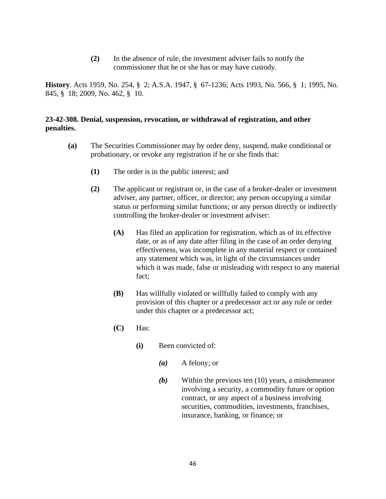**(2)** In the absence of rule, the investment adviser fails to notify the commissioner that he or she has or may have custody.

**History**. Acts 1959, No. 254, § 2; A.S.A. 1947, § 67-1236; Acts 1993, No. 566, § 1; 1995, No. 845, § 18; 2009, No. 462, § 10.

# **23-42-308. Denial, suspension, revocation, or withdrawal of registration, and other penalties.**

- **(a)** The Securities Commissioner may by order deny, suspend, make conditional or probationary, or revoke any registration if he or she finds that:
	- **(1)** The order is in the public interest; and
	- **(2)** The applicant or registrant or, in the case of a broker-dealer or investment adviser, any partner, officer, or director; any person occupying a similar status or performing similar functions; or any person directly or indirectly controlling the broker-dealer or investment adviser:
		- **(A)** Has filed an application for registration, which as of its effective date, or as of any date after filing in the case of an order denying effectiveness, was incomplete in any material respect or contained any statement which was, in light of the circumstances under which it was made, false or misleading with respect to any material fact;
		- **(B)** Has willfully violated or willfully failed to comply with any provision of this chapter or a predecessor act or any rule or order under this chapter or a predecessor act;
		- **(C)** Has:
			- **(i)** Been convicted of:
				- *(a)* A felony; or
				- *(b)* Within the previous ten (10) years, a misdemeanor involving a security, a commodity future or option contract, or any aspect of a business involving securities, commodities, investments, franchises, insurance, banking, or finance; or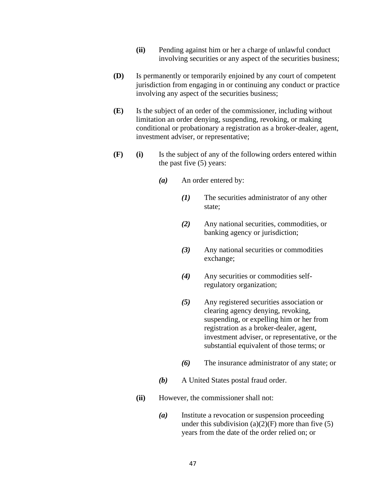- **(ii)** Pending against him or her a charge of unlawful conduct involving securities or any aspect of the securities business;
- **(D)** Is permanently or temporarily enjoined by any court of competent jurisdiction from engaging in or continuing any conduct or practice involving any aspect of the securities business;
- **(E)** Is the subject of an order of the commissioner, including without limitation an order denying, suspending, revoking, or making conditional or probationary a registration as a broker-dealer, agent, investment adviser, or representative;
- **(F) (i)** Is the subject of any of the following orders entered within the past five (5) years:
	- *(a)* An order entered by:
		- *(1)* The securities administrator of any other state;
		- *(2)* Any national securities, commodities, or banking agency or jurisdiction;
		- *(3)* Any national securities or commodities exchange;
		- *(4)* Any securities or commodities selfregulatory organization;
		- *(5)* Any registered securities association or clearing agency denying, revoking, suspending, or expelling him or her from registration as a broker-dealer, agent, investment adviser, or representative, or the substantial equivalent of those terms; or
		- *(6)* The insurance administrator of any state; or
	- *(b)* A United States postal fraud order.
	- **(ii)** However, the commissioner shall not:
		- *(a)* Institute a revocation or suspension proceeding under this subdivision  $(a)(2)(F)$  more than five (5) years from the date of the order relied on; or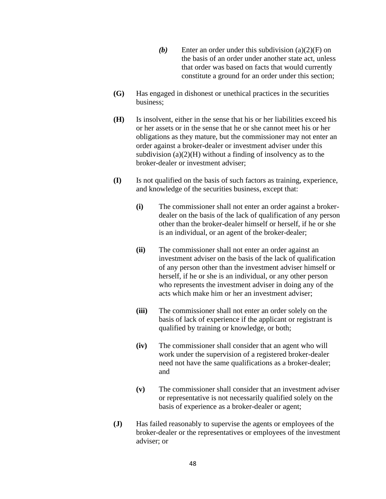- *(b)* Enter an order under this subdivision (a)(2)(F) on the basis of an order under another state act, unless that order was based on facts that would currently constitute a ground for an order under this section;
- **(G)** Has engaged in dishonest or unethical practices in the securities business;
- **(H)** Is insolvent, either in the sense that his or her liabilities exceed his or her assets or in the sense that he or she cannot meet his or her obligations as they mature, but the commissioner may not enter an order against a broker-dealer or investment adviser under this subdivision  $(a)(2)(H)$  without a finding of insolvency as to the broker-dealer or investment adviser;
- **(I)** Is not qualified on the basis of such factors as training, experience, and knowledge of the securities business, except that:
	- **(i)** The commissioner shall not enter an order against a brokerdealer on the basis of the lack of qualification of any person other than the broker-dealer himself or herself, if he or she is an individual, or an agent of the broker-dealer;
	- **(ii)** The commissioner shall not enter an order against an investment adviser on the basis of the lack of qualification of any person other than the investment adviser himself or herself, if he or she is an individual, or any other person who represents the investment adviser in doing any of the acts which make him or her an investment adviser;
	- **(iii)** The commissioner shall not enter an order solely on the basis of lack of experience if the applicant or registrant is qualified by training or knowledge, or both;
	- **(iv)** The commissioner shall consider that an agent who will work under the supervision of a registered broker-dealer need not have the same qualifications as a broker-dealer; and
	- **(v)** The commissioner shall consider that an investment adviser or representative is not necessarily qualified solely on the basis of experience as a broker-dealer or agent;
- **(J)** Has failed reasonably to supervise the agents or employees of the broker-dealer or the representatives or employees of the investment adviser; or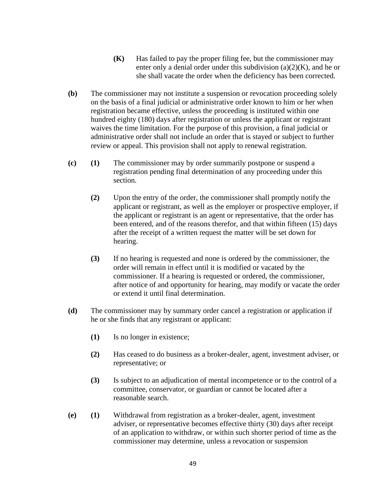- **(K)** Has failed to pay the proper filing fee, but the commissioner may enter only a denial order under this subdivision  $(a)(2)(K)$ , and he or she shall vacate the order when the deficiency has been corrected.
- **(b)** The commissioner may not institute a suspension or revocation proceeding solely on the basis of a final judicial or administrative order known to him or her when registration became effective, unless the proceeding is instituted within one hundred eighty (180) days after registration or unless the applicant or registrant waives the time limitation. For the purpose of this provision, a final judicial or administrative order shall not include an order that is stayed or subject to further review or appeal. This provision shall not apply to renewal registration.
- **(c) (1)** The commissioner may by order summarily postpone or suspend a registration pending final determination of any proceeding under this section.
	- **(2)** Upon the entry of the order, the commissioner shall promptly notify the applicant or registrant, as well as the employer or prospective employer, if the applicant or registrant is an agent or representative, that the order has been entered, and of the reasons therefor, and that within fifteen (15) days after the receipt of a written request the matter will be set down for hearing.
	- **(3)** If no hearing is requested and none is ordered by the commissioner, the order will remain in effect until it is modified or vacated by the commissioner. If a hearing is requested or ordered, the commissioner, after notice of and opportunity for hearing, may modify or vacate the order or extend it until final determination.
- **(d)** The commissioner may by summary order cancel a registration or application if he or she finds that any registrant or applicant:
	- **(1)** Is no longer in existence;
	- **(2)** Has ceased to do business as a broker-dealer, agent, investment adviser, or representative; or
	- **(3)** Is subject to an adjudication of mental incompetence or to the control of a committee, conservator, or guardian or cannot be located after a reasonable search.
- **(e) (1)** Withdrawal from registration as a broker-dealer, agent, investment adviser, or representative becomes effective thirty (30) days after receipt of an application to withdraw, or within such shorter period of time as the commissioner may determine, unless a revocation or suspension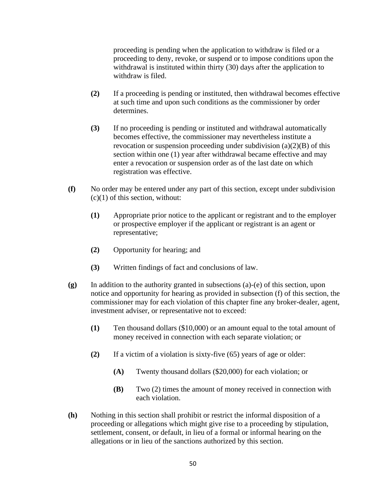proceeding is pending when the application to withdraw is filed or a proceeding to deny, revoke, or suspend or to impose conditions upon the withdrawal is instituted within thirty (30) days after the application to withdraw is filed.

- **(2)** If a proceeding is pending or instituted, then withdrawal becomes effective at such time and upon such conditions as the commissioner by order determines.
- **(3)** If no proceeding is pending or instituted and withdrawal automatically becomes effective, the commissioner may nevertheless institute a revocation or suspension proceeding under subdivision  $(a)(2)(B)$  of this section within one (1) year after withdrawal became effective and may enter a revocation or suspension order as of the last date on which registration was effective.
- **(f)** No order may be entered under any part of this section, except under subdivision  $(c)(1)$  of this section, without:
	- **(1)** Appropriate prior notice to the applicant or registrant and to the employer or prospective employer if the applicant or registrant is an agent or representative;
	- **(2)** Opportunity for hearing; and
	- **(3)** Written findings of fact and conclusions of law.
- **(g)** In addition to the authority granted in subsections (a)-(e) of this section, upon notice and opportunity for hearing as provided in subsection (f) of this section, the commissioner may for each violation of this chapter fine any broker-dealer, agent, investment adviser, or representative not to exceed:
	- **(1)** Ten thousand dollars (\$10,000) or an amount equal to the total amount of money received in connection with each separate violation; or
	- **(2)** If a victim of a violation is sixty-five (65) years of age or older:
		- **(A)** Twenty thousand dollars (\$20,000) for each violation; or
		- **(B)** Two (2) times the amount of money received in connection with each violation.
- **(h)** Nothing in this section shall prohibit or restrict the informal disposition of a proceeding or allegations which might give rise to a proceeding by stipulation, settlement, consent, or default, in lieu of a formal or informal hearing on the allegations or in lieu of the sanctions authorized by this section.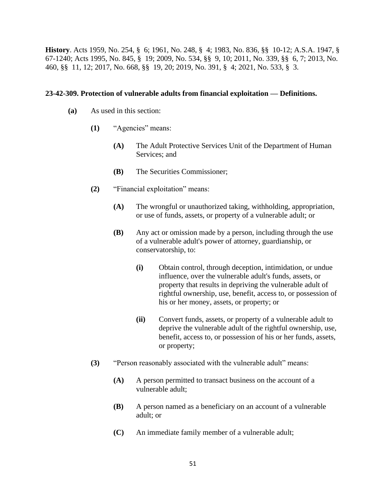**History**. Acts 1959, No. 254, § 6; 1961, No. 248, § 4; 1983, No. 836, §§ 10-12; A.S.A. 1947, § 67-1240; Acts 1995, No. 845, § 19; 2009, No. 534, §§ 9, 10; 2011, No. 339, §§ 6, 7; 2013, No. 460, §§ 11, 12; 2017, No. 668, §§ 19, 20; 2019, No. 391, § 4; 2021, No. 533, § 3.

#### **23-42-309. Protection of vulnerable adults from financial exploitation — Definitions.**

- **(a)** As used in this section:
	- **(1)** "Agencies" means:
		- **(A)** The Adult Protective Services Unit of the Department of Human Services; and
		- **(B)** The Securities Commissioner;
	- **(2)** "Financial exploitation" means:
		- **(A)** The wrongful or unauthorized taking, withholding, appropriation, or use of funds, assets, or property of a vulnerable adult; or
		- **(B)** Any act or omission made by a person, including through the use of a vulnerable adult's power of attorney, guardianship, or conservatorship, to:
			- **(i)** Obtain control, through deception, intimidation, or undue influence, over the vulnerable adult's funds, assets, or property that results in depriving the vulnerable adult of rightful ownership, use, benefit, access to, or possession of his or her money, assets, or property; or
			- **(ii)** Convert funds, assets, or property of a vulnerable adult to deprive the vulnerable adult of the rightful ownership, use, benefit, access to, or possession of his or her funds, assets, or property;
	- **(3)** "Person reasonably associated with the vulnerable adult" means:
		- **(A)** A person permitted to transact business on the account of a vulnerable adult;
		- **(B)** A person named as a beneficiary on an account of a vulnerable adult; or
		- **(C)** An immediate family member of a vulnerable adult;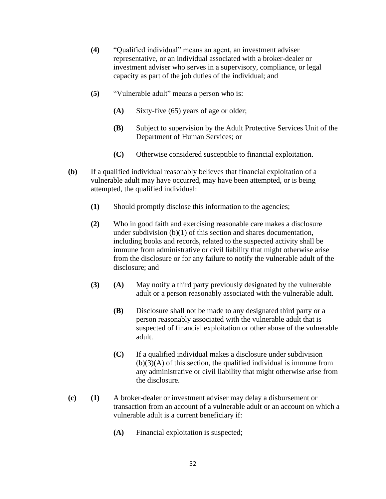- **(4)** "Qualified individual" means an agent, an investment adviser representative, or an individual associated with a broker-dealer or investment adviser who serves in a supervisory, compliance, or legal capacity as part of the job duties of the individual; and
- **(5)** "Vulnerable adult" means a person who is:
	- **(A)** Sixty-five (65) years of age or older;
	- **(B)** Subject to supervision by the Adult Protective Services Unit of the Department of Human Services; or
	- **(C)** Otherwise considered susceptible to financial exploitation.
- **(b)** If a qualified individual reasonably believes that financial exploitation of a vulnerable adult may have occurred, may have been attempted, or is being attempted, the qualified individual:
	- **(1)** Should promptly disclose this information to the agencies;
	- **(2)** Who in good faith and exercising reasonable care makes a disclosure under subdivision (b)(1) of this section and shares documentation, including books and records, related to the suspected activity shall be immune from administrative or civil liability that might otherwise arise from the disclosure or for any failure to notify the vulnerable adult of the disclosure; and
	- **(3) (A)** May notify a third party previously designated by the vulnerable adult or a person reasonably associated with the vulnerable adult.
		- **(B)** Disclosure shall not be made to any designated third party or a person reasonably associated with the vulnerable adult that is suspected of financial exploitation or other abuse of the vulnerable adult.
		- **(C)** If a qualified individual makes a disclosure under subdivision  $(b)(3)(A)$  of this section, the qualified individual is immune from any administrative or civil liability that might otherwise arise from the disclosure.
- **(c) (1)** A broker-dealer or investment adviser may delay a disbursement or transaction from an account of a vulnerable adult or an account on which a vulnerable adult is a current beneficiary if:
	- **(A)** Financial exploitation is suspected;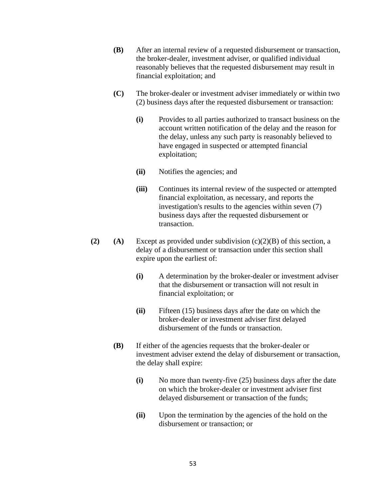- **(B)** After an internal review of a requested disbursement or transaction, the broker-dealer, investment adviser, or qualified individual reasonably believes that the requested disbursement may result in financial exploitation; and
- **(C)** The broker-dealer or investment adviser immediately or within two (2) business days after the requested disbursement or transaction:
	- **(i)** Provides to all parties authorized to transact business on the account written notification of the delay and the reason for the delay, unless any such party is reasonably believed to have engaged in suspected or attempted financial exploitation;
	- **(ii)** Notifies the agencies; and
	- **(iii)** Continues its internal review of the suspected or attempted financial exploitation, as necessary, and reports the investigation's results to the agencies within seven (7) business days after the requested disbursement or transaction.
- **(2) (A)** Except as provided under subdivision  $(c)(2)(B)$  of this section, a delay of a disbursement or transaction under this section shall expire upon the earliest of:
	- **(i)** A determination by the broker-dealer or investment adviser that the disbursement or transaction will not result in financial exploitation; or
	- **(ii)** Fifteen (15) business days after the date on which the broker-dealer or investment adviser first delayed disbursement of the funds or transaction.
	- **(B)** If either of the agencies requests that the broker-dealer or investment adviser extend the delay of disbursement or transaction, the delay shall expire:
		- **(i)** No more than twenty-five (25) business days after the date on which the broker-dealer or investment adviser first delayed disbursement or transaction of the funds;
		- **(ii)** Upon the termination by the agencies of the hold on the disbursement or transaction; or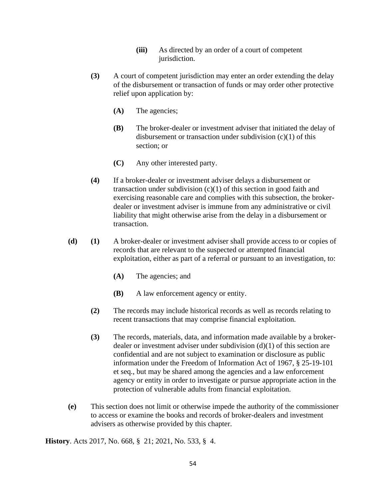- **(iii)** As directed by an order of a court of competent jurisdiction.
- **(3)** A court of competent jurisdiction may enter an order extending the delay of the disbursement or transaction of funds or may order other protective relief upon application by:
	- **(A)** The agencies;
	- **(B)** The broker-dealer or investment adviser that initiated the delay of disbursement or transaction under subdivision (c)(1) of this section; or
	- **(C)** Any other interested party.
- **(4)** If a broker-dealer or investment adviser delays a disbursement or transaction under subdivision  $(c)(1)$  of this section in good faith and exercising reasonable care and complies with this subsection, the brokerdealer or investment adviser is immune from any administrative or civil liability that might otherwise arise from the delay in a disbursement or transaction.
- **(d) (1)** A broker-dealer or investment adviser shall provide access to or copies of records that are relevant to the suspected or attempted financial exploitation, either as part of a referral or pursuant to an investigation, to:
	- **(A)** The agencies; and
	- **(B)** A law enforcement agency or entity.
	- **(2)** The records may include historical records as well as records relating to recent transactions that may comprise financial exploitation.
	- **(3)** The records, materials, data, and information made available by a brokerdealer or investment adviser under subdivision (d)(1) of this section are confidential and are not subject to examination or disclosure as public information under the Freedom of Information Act of 1967, § 25-19-101 et seq., but may be shared among the agencies and a law enforcement agency or entity in order to investigate or pursue appropriate action in the protection of vulnerable adults from financial exploitation.
- **(e)** This section does not limit or otherwise impede the authority of the commissioner to access or examine the books and records of broker-dealers and investment advisers as otherwise provided by this chapter.

**History**. Acts 2017, No. 668, § 21; 2021, No. 533, § 4.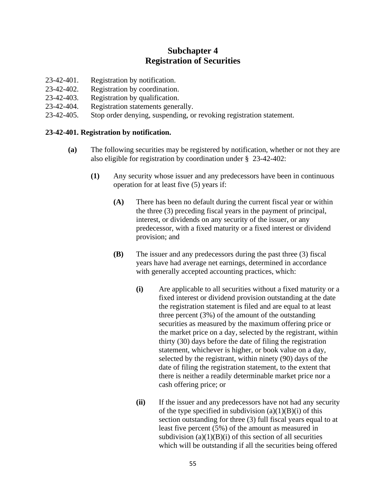# **Subchapter 4 Registration of Securities**

- 23-42-401. Registration by notification.
- 23-42-402. Registration by coordination.
- 23-42-403. Registration by qualification.
- 23-42-404. Registration statements generally.
- 23-42-405. Stop order denying, suspending, or revoking registration statement.

## **23-42-401. Registration by notification.**

- **(a)** The following securities may be registered by notification, whether or not they are also eligible for registration by coordination under § 23-42-402:
	- **(1)** Any security whose issuer and any predecessors have been in continuous operation for at least five (5) years if:
		- **(A)** There has been no default during the current fiscal year or within the three (3) preceding fiscal years in the payment of principal, interest, or dividends on any security of the issuer, or any predecessor, with a fixed maturity or a fixed interest or dividend provision; and
		- **(B)** The issuer and any predecessors during the past three (3) fiscal years have had average net earnings, determined in accordance with generally accepted accounting practices, which:
			- **(i)** Are applicable to all securities without a fixed maturity or a fixed interest or dividend provision outstanding at the date the registration statement is filed and are equal to at least three percent (3%) of the amount of the outstanding securities as measured by the maximum offering price or the market price on a day, selected by the registrant, within thirty (30) days before the date of filing the registration statement, whichever is higher, or book value on a day, selected by the registrant, within ninety (90) days of the date of filing the registration statement, to the extent that there is neither a readily determinable market price nor a cash offering price; or
			- **(ii)** If the issuer and any predecessors have not had any security of the type specified in subdivision  $(a)(1)(B)(i)$  of this section outstanding for three (3) full fiscal years equal to at least five percent (5%) of the amount as measured in subdivision  $(a)(1)(B)(i)$  of this section of all securities which will be outstanding if all the securities being offered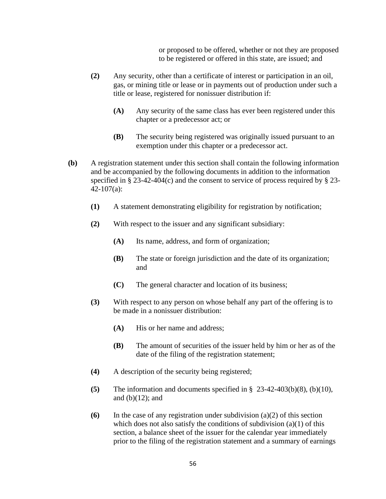or proposed to be offered, whether or not they are proposed to be registered or offered in this state, are issued; and

- **(2)** Any security, other than a certificate of interest or participation in an oil, gas, or mining title or lease or in payments out of production under such a title or lease, registered for nonissuer distribution if:
	- **(A)** Any security of the same class has ever been registered under this chapter or a predecessor act; or
	- **(B)** The security being registered was originally issued pursuant to an exemption under this chapter or a predecessor act.
- **(b)** A registration statement under this section shall contain the following information and be accompanied by the following documents in addition to the information specified in  $\S 23-42-404(c)$  and the consent to service of process required by  $\S 23-$ 42-107(a):
	- **(1)** A statement demonstrating eligibility for registration by notification;
	- **(2)** With respect to the issuer and any significant subsidiary:
		- **(A)** Its name, address, and form of organization;
		- **(B)** The state or foreign jurisdiction and the date of its organization; and
		- **(C)** The general character and location of its business;
	- **(3)** With respect to any person on whose behalf any part of the offering is to be made in a nonissuer distribution:
		- **(A)** His or her name and address;
		- **(B)** The amount of securities of the issuer held by him or her as of the date of the filing of the registration statement;
	- **(4)** A description of the security being registered;
	- **(5)** The information and documents specified in § 23-42-403(b)(8), (b)(10), and  $(b)(12)$ ; and
	- **(6)** In the case of any registration under subdivision (a)(2) of this section which does not also satisfy the conditions of subdivision  $(a)(1)$  of this section, a balance sheet of the issuer for the calendar year immediately prior to the filing of the registration statement and a summary of earnings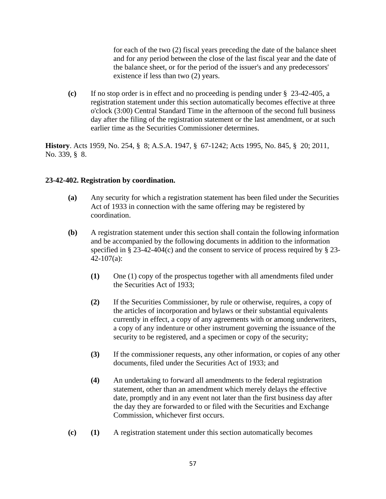for each of the two (2) fiscal years preceding the date of the balance sheet and for any period between the close of the last fiscal year and the date of the balance sheet, or for the period of the issuer's and any predecessors' existence if less than two (2) years.

**(c)** If no stop order is in effect and no proceeding is pending under § 23-42-405, a registration statement under this section automatically becomes effective at three o'clock (3:00) Central Standard Time in the afternoon of the second full business day after the filing of the registration statement or the last amendment, or at such earlier time as the Securities Commissioner determines.

**History**. Acts 1959, No. 254, § 8; A.S.A. 1947, § 67-1242; Acts 1995, No. 845, § 20; 2011, No. 339, § 8.

#### **23-42-402. Registration by coordination.**

- **(a)** Any security for which a registration statement has been filed under the Securities Act of 1933 in connection with the same offering may be registered by coordination.
- **(b)** A registration statement under this section shall contain the following information and be accompanied by the following documents in addition to the information specified in  $\S 23-42-404(c)$  and the consent to service of process required by  $\S 23-$ 42-107(a):
	- **(1)** One (1) copy of the prospectus together with all amendments filed under the Securities Act of 1933;
	- **(2)** If the Securities Commissioner, by rule or otherwise, requires, a copy of the articles of incorporation and bylaws or their substantial equivalents currently in effect, a copy of any agreements with or among underwriters, a copy of any indenture or other instrument governing the issuance of the security to be registered, and a specimen or copy of the security;
	- **(3)** If the commissioner requests, any other information, or copies of any other documents, filed under the Securities Act of 1933; and
	- **(4)** An undertaking to forward all amendments to the federal registration statement, other than an amendment which merely delays the effective date, promptly and in any event not later than the first business day after the day they are forwarded to or filed with the Securities and Exchange Commission, whichever first occurs.
- **(c) (1)** A registration statement under this section automatically becomes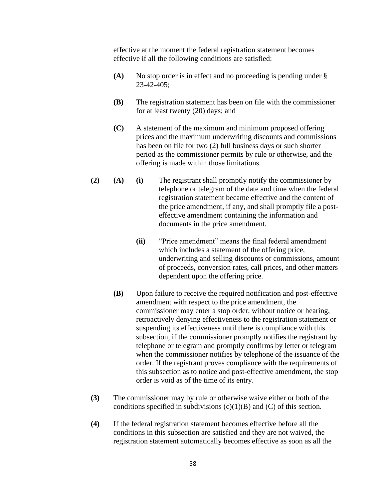effective at the moment the federal registration statement becomes effective if all the following conditions are satisfied:

- **(A)** No stop order is in effect and no proceeding is pending under § 23-42-405;
- **(B)** The registration statement has been on file with the commissioner for at least twenty (20) days; and
- **(C)** A statement of the maximum and minimum proposed offering prices and the maximum underwriting discounts and commissions has been on file for two (2) full business days or such shorter period as the commissioner permits by rule or otherwise, and the offering is made within those limitations.
- **(2) (A) (i)** The registrant shall promptly notify the commissioner by telephone or telegram of the date and time when the federal registration statement became effective and the content of the price amendment, if any, and shall promptly file a posteffective amendment containing the information and documents in the price amendment.
	- **(ii)** "Price amendment" means the final federal amendment which includes a statement of the offering price, underwriting and selling discounts or commissions, amount of proceeds, conversion rates, call prices, and other matters dependent upon the offering price.
	- **(B)** Upon failure to receive the required notification and post-effective amendment with respect to the price amendment, the commissioner may enter a stop order, without notice or hearing, retroactively denying effectiveness to the registration statement or suspending its effectiveness until there is compliance with this subsection, if the commissioner promptly notifies the registrant by telephone or telegram and promptly confirms by letter or telegram when the commissioner notifies by telephone of the issuance of the order. If the registrant proves compliance with the requirements of this subsection as to notice and post-effective amendment, the stop order is void as of the time of its entry.
- **(3)** The commissioner may by rule or otherwise waive either or both of the conditions specified in subdivisions  $(c)(1)(B)$  and  $(C)$  of this section.
- **(4)** If the federal registration statement becomes effective before all the conditions in this subsection are satisfied and they are not waived, the registration statement automatically becomes effective as soon as all the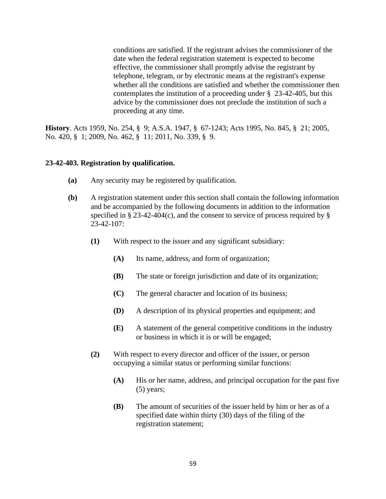conditions are satisfied. If the registrant advises the commissioner of the date when the federal registration statement is expected to become effective, the commissioner shall promptly advise the registrant by telephone, telegram, or by electronic means at the registrant's expense whether all the conditions are satisfied and whether the commissioner then contemplates the institution of a proceeding under § 23-42-405, but this advice by the commissioner does not preclude the institution of such a proceeding at any time.

**History**. Acts 1959, No. 254, § 9; A.S.A. 1947, § 67-1243; Acts 1995, No. 845, § 21; 2005, No. 420, § 1; 2009, No. 462, § 11; 2011, No. 339, § 9.

#### **23-42-403. Registration by qualification.**

- **(a)** Any security may be registered by qualification.
- **(b)** A registration statement under this section shall contain the following information and be accompanied by the following documents in addition to the information specified in § 23-42-404(c), and the consent to service of process required by § 23-42-107:
	- **(1)** With respect to the issuer and any significant subsidiary:
		- **(A)** Its name, address, and form of organization;
		- **(B)** The state or foreign jurisdiction and date of its organization;
		- **(C)** The general character and location of its business;
		- **(D)** A description of its physical properties and equipment; and
		- **(E)** A statement of the general competitive conditions in the industry or business in which it is or will be engaged;
	- **(2)** With respect to every director and officer of the issuer, or person occupying a similar status or performing similar functions:
		- **(A)** His or her name, address, and principal occupation for the past five (5) years;
		- **(B)** The amount of securities of the issuer held by him or her as of a specified date within thirty (30) days of the filing of the registration statement;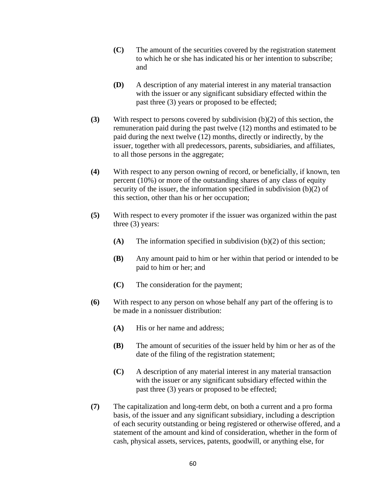- **(C)** The amount of the securities covered by the registration statement to which he or she has indicated his or her intention to subscribe; and
- **(D)** A description of any material interest in any material transaction with the issuer or any significant subsidiary effected within the past three (3) years or proposed to be effected;
- **(3)** With respect to persons covered by subdivision (b)(2) of this section, the remuneration paid during the past twelve (12) months and estimated to be paid during the next twelve (12) months, directly or indirectly, by the issuer, together with all predecessors, parents, subsidiaries, and affiliates, to all those persons in the aggregate;
- **(4)** With respect to any person owning of record, or beneficially, if known, ten percent (10%) or more of the outstanding shares of any class of equity security of the issuer, the information specified in subdivision (b)(2) of this section, other than his or her occupation;
- **(5)** With respect to every promoter if the issuer was organized within the past three (3) years:
	- **(A)** The information specified in subdivision (b)(2) of this section;
	- **(B)** Any amount paid to him or her within that period or intended to be paid to him or her; and
	- **(C)** The consideration for the payment;
- **(6)** With respect to any person on whose behalf any part of the offering is to be made in a nonissuer distribution:
	- **(A)** His or her name and address;
	- **(B)** The amount of securities of the issuer held by him or her as of the date of the filing of the registration statement;
	- **(C)** A description of any material interest in any material transaction with the issuer or any significant subsidiary effected within the past three (3) years or proposed to be effected;
- **(7)** The capitalization and long-term debt, on both a current and a pro forma basis, of the issuer and any significant subsidiary, including a description of each security outstanding or being registered or otherwise offered, and a statement of the amount and kind of consideration, whether in the form of cash, physical assets, services, patents, goodwill, or anything else, for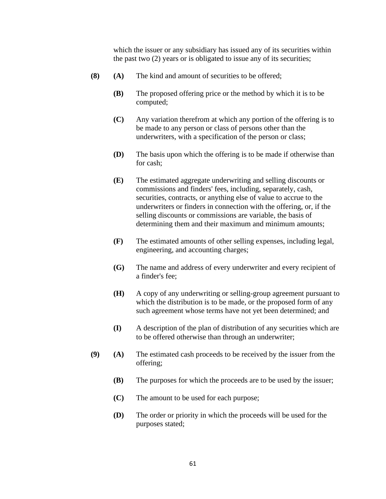which the issuer or any subsidiary has issued any of its securities within the past two (2) years or is obligated to issue any of its securities;

- **(8) (A)** The kind and amount of securities to be offered;
	- **(B)** The proposed offering price or the method by which it is to be computed;
	- **(C)** Any variation therefrom at which any portion of the offering is to be made to any person or class of persons other than the underwriters, with a specification of the person or class;
	- **(D)** The basis upon which the offering is to be made if otherwise than for cash;
	- **(E)** The estimated aggregate underwriting and selling discounts or commissions and finders' fees, including, separately, cash, securities, contracts, or anything else of value to accrue to the underwriters or finders in connection with the offering, or, if the selling discounts or commissions are variable, the basis of determining them and their maximum and minimum amounts;
	- **(F)** The estimated amounts of other selling expenses, including legal, engineering, and accounting charges;
	- **(G)** The name and address of every underwriter and every recipient of a finder's fee;
	- **(H)** A copy of any underwriting or selling-group agreement pursuant to which the distribution is to be made, or the proposed form of any such agreement whose terms have not yet been determined; and
	- **(I)** A description of the plan of distribution of any securities which are to be offered otherwise than through an underwriter;
- **(9) (A)** The estimated cash proceeds to be received by the issuer from the offering;
	- **(B)** The purposes for which the proceeds are to be used by the issuer;
	- **(C)** The amount to be used for each purpose;
	- **(D)** The order or priority in which the proceeds will be used for the purposes stated;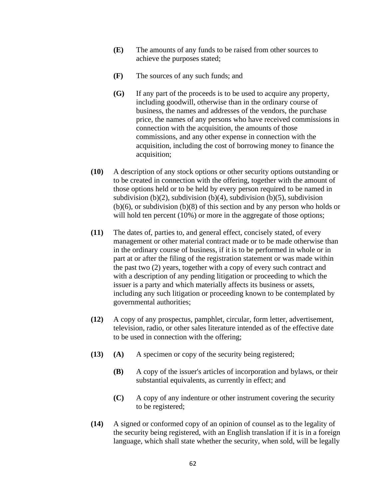- **(E)** The amounts of any funds to be raised from other sources to achieve the purposes stated;
- **(F)** The sources of any such funds; and
- **(G)** If any part of the proceeds is to be used to acquire any property, including goodwill, otherwise than in the ordinary course of business, the names and addresses of the vendors, the purchase price, the names of any persons who have received commissions in connection with the acquisition, the amounts of those commissions, and any other expense in connection with the acquisition, including the cost of borrowing money to finance the acquisition;
- **(10)** A description of any stock options or other security options outstanding or to be created in connection with the offering, together with the amount of those options held or to be held by every person required to be named in subdivision (b)(2), subdivision (b)(4), subdivision (b)(5), subdivision (b)(6), or subdivision (b)(8) of this section and by any person who holds or will hold ten percent (10%) or more in the aggregate of those options;
- **(11)** The dates of, parties to, and general effect, concisely stated, of every management or other material contract made or to be made otherwise than in the ordinary course of business, if it is to be performed in whole or in part at or after the filing of the registration statement or was made within the past two (2) years, together with a copy of every such contract and with a description of any pending litigation or proceeding to which the issuer is a party and which materially affects its business or assets, including any such litigation or proceeding known to be contemplated by governmental authorities;
- **(12)** A copy of any prospectus, pamphlet, circular, form letter, advertisement, television, radio, or other sales literature intended as of the effective date to be used in connection with the offering;
- **(13) (A)** A specimen or copy of the security being registered;
	- **(B)** A copy of the issuer's articles of incorporation and bylaws, or their substantial equivalents, as currently in effect; and
	- **(C)** A copy of any indenture or other instrument covering the security to be registered;
- **(14)** A signed or conformed copy of an opinion of counsel as to the legality of the security being registered, with an English translation if it is in a foreign language, which shall state whether the security, when sold, will be legally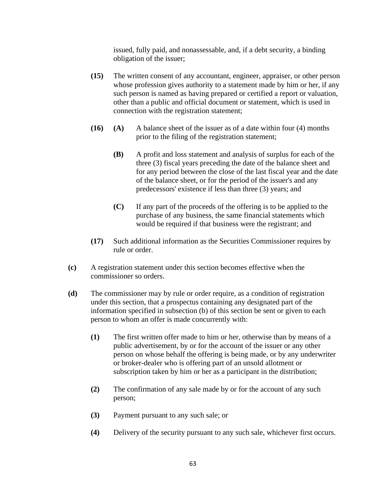issued, fully paid, and nonassessable, and, if a debt security, a binding obligation of the issuer;

- **(15)** The written consent of any accountant, engineer, appraiser, or other person whose profession gives authority to a statement made by him or her, if any such person is named as having prepared or certified a report or valuation, other than a public and official document or statement, which is used in connection with the registration statement;
- **(16) (A)** A balance sheet of the issuer as of a date within four (4) months prior to the filing of the registration statement;
	- **(B)** A profit and loss statement and analysis of surplus for each of the three (3) fiscal years preceding the date of the balance sheet and for any period between the close of the last fiscal year and the date of the balance sheet, or for the period of the issuer's and any predecessors' existence if less than three (3) years; and
	- **(C)** If any part of the proceeds of the offering is to be applied to the purchase of any business, the same financial statements which would be required if that business were the registrant; and
- **(17)** Such additional information as the Securities Commissioner requires by rule or order.
- **(c)** A registration statement under this section becomes effective when the commissioner so orders.
- **(d)** The commissioner may by rule or order require, as a condition of registration under this section, that a prospectus containing any designated part of the information specified in subsection (b) of this section be sent or given to each person to whom an offer is made concurrently with:
	- **(1)** The first written offer made to him or her, otherwise than by means of a public advertisement, by or for the account of the issuer or any other person on whose behalf the offering is being made, or by any underwriter or broker-dealer who is offering part of an unsold allotment or subscription taken by him or her as a participant in the distribution;
	- **(2)** The confirmation of any sale made by or for the account of any such person;
	- **(3)** Payment pursuant to any such sale; or
	- **(4)** Delivery of the security pursuant to any such sale, whichever first occurs.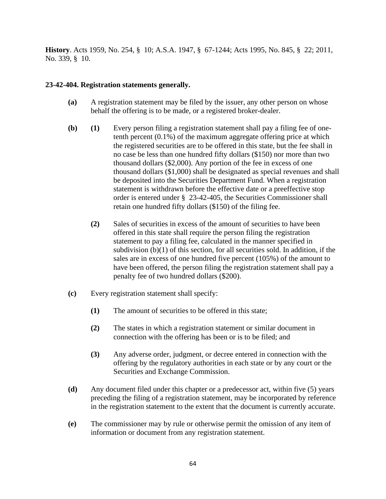**History**. Acts 1959, No. 254, § 10; A.S.A. 1947, § 67-1244; Acts 1995, No. 845, § 22; 2011, No. 339, § 10.

#### **23-42-404. Registration statements generally.**

- **(a)** A registration statement may be filed by the issuer, any other person on whose behalf the offering is to be made, or a registered broker-dealer.
- **(b) (1)** Every person filing a registration statement shall pay a filing fee of onetenth percent (0.1%) of the maximum aggregate offering price at which the registered securities are to be offered in this state, but the fee shall in no case be less than one hundred fifty dollars (\$150) nor more than two thousand dollars (\$2,000). Any portion of the fee in excess of one thousand dollars (\$1,000) shall be designated as special revenues and shall be deposited into the Securities Department Fund. When a registration statement is withdrawn before the effective date or a preeffective stop order is entered under § 23-42-405, the Securities Commissioner shall retain one hundred fifty dollars (\$150) of the filing fee.
	- **(2)** Sales of securities in excess of the amount of securities to have been offered in this state shall require the person filing the registration statement to pay a filing fee, calculated in the manner specified in subdivision  $(b)(1)$  of this section, for all securities sold. In addition, if the sales are in excess of one hundred five percent (105%) of the amount to have been offered, the person filing the registration statement shall pay a penalty fee of two hundred dollars (\$200).
- **(c)** Every registration statement shall specify:
	- **(1)** The amount of securities to be offered in this state;
	- **(2)** The states in which a registration statement or similar document in connection with the offering has been or is to be filed; and
	- **(3)** Any adverse order, judgment, or decree entered in connection with the offering by the regulatory authorities in each state or by any court or the Securities and Exchange Commission.
- **(d)** Any document filed under this chapter or a predecessor act, within five (5) years preceding the filing of a registration statement, may be incorporated by reference in the registration statement to the extent that the document is currently accurate.
- **(e)** The commissioner may by rule or otherwise permit the omission of any item of information or document from any registration statement.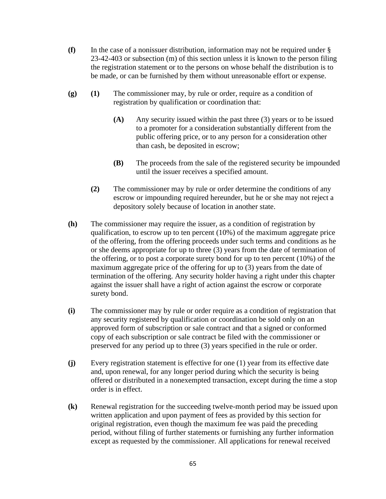- **(f)** In the case of a nonissuer distribution, information may not be required under § 23-42-403 or subsection (m) of this section unless it is known to the person filing the registration statement or to the persons on whose behalf the distribution is to be made, or can be furnished by them without unreasonable effort or expense.
- **(g) (1)** The commissioner may, by rule or order, require as a condition of registration by qualification or coordination that:
	- **(A)** Any security issued within the past three (3) years or to be issued to a promoter for a consideration substantially different from the public offering price, or to any person for a consideration other than cash, be deposited in escrow;
	- **(B)** The proceeds from the sale of the registered security be impounded until the issuer receives a specified amount.
	- **(2)** The commissioner may by rule or order determine the conditions of any escrow or impounding required hereunder, but he or she may not reject a depository solely because of location in another state.
- **(h)** The commissioner may require the issuer, as a condition of registration by qualification, to escrow up to ten percent (10%) of the maximum aggregate price of the offering, from the offering proceeds under such terms and conditions as he or she deems appropriate for up to three (3) years from the date of termination of the offering, or to post a corporate surety bond for up to ten percent (10%) of the maximum aggregate price of the offering for up to (3) years from the date of termination of the offering. Any security holder having a right under this chapter against the issuer shall have a right of action against the escrow or corporate surety bond.
- **(i)** The commissioner may by rule or order require as a condition of registration that any security registered by qualification or coordination be sold only on an approved form of subscription or sale contract and that a signed or conformed copy of each subscription or sale contract be filed with the commissioner or preserved for any period up to three (3) years specified in the rule or order.
- **(j)** Every registration statement is effective for one (1) year from its effective date and, upon renewal, for any longer period during which the security is being offered or distributed in a nonexempted transaction, except during the time a stop order is in effect.
- **(k)** Renewal registration for the succeeding twelve-month period may be issued upon written application and upon payment of fees as provided by this section for original registration, even though the maximum fee was paid the preceding period, without filing of further statements or furnishing any further information except as requested by the commissioner. All applications for renewal received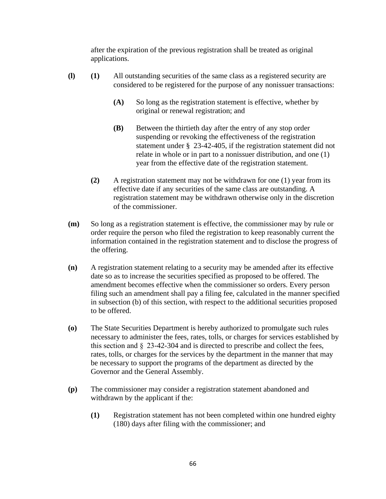after the expiration of the previous registration shall be treated as original applications.

- **(l) (1)** All outstanding securities of the same class as a registered security are considered to be registered for the purpose of any nonissuer transactions:
	- **(A)** So long as the registration statement is effective, whether by original or renewal registration; and
	- **(B)** Between the thirtieth day after the entry of any stop order suspending or revoking the effectiveness of the registration statement under § 23-42-405, if the registration statement did not relate in whole or in part to a nonissuer distribution, and one (1) year from the effective date of the registration statement.
	- **(2)** A registration statement may not be withdrawn for one (1) year from its effective date if any securities of the same class are outstanding. A registration statement may be withdrawn otherwise only in the discretion of the commissioner.
- **(m)** So long as a registration statement is effective, the commissioner may by rule or order require the person who filed the registration to keep reasonably current the information contained in the registration statement and to disclose the progress of the offering.
- **(n)** A registration statement relating to a security may be amended after its effective date so as to increase the securities specified as proposed to be offered. The amendment becomes effective when the commissioner so orders. Every person filing such an amendment shall pay a filing fee, calculated in the manner specified in subsection (b) of this section, with respect to the additional securities proposed to be offered.
- **(o)** The State Securities Department is hereby authorized to promulgate such rules necessary to administer the fees, rates, tolls, or charges for services established by this section and §  23-42-304 and is directed to prescribe and collect the fees, rates, tolls, or charges for the services by the department in the manner that may be necessary to support the programs of the department as directed by the Governor and the General Assembly.
- **(p)** The commissioner may consider a registration statement abandoned and withdrawn by the applicant if the:
	- **(1)** Registration statement has not been completed within one hundred eighty (180) days after filing with the commissioner; and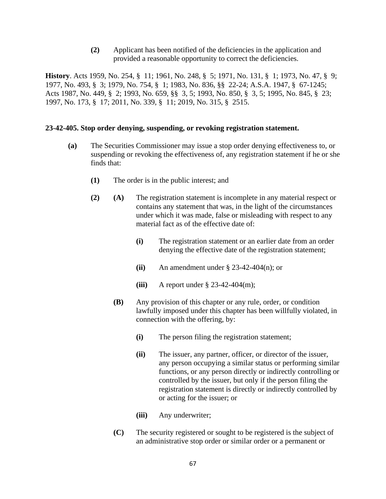**(2)** Applicant has been notified of the deficiencies in the application and provided a reasonable opportunity to correct the deficiencies.

**History**. Acts 1959, No. 254, § 11; 1961, No. 248, § 5; 1971, No. 131, § 1; 1973, No. 47, § 9; 1977, No. 493, § 3; 1979, No. 754, § 1; 1983, No. 836, §§ 22-24; A.S.A. 1947, § 67-1245; Acts 1987, No. 449, § 2; 1993, No. 659, §§ 3, 5; 1993, No. 850, § 3, 5; 1995, No. 845, § 23; 1997, No. 173, § 17; 2011, No. 339, § 11; 2019, No. 315, § 2515.

#### **23-42-405. Stop order denying, suspending, or revoking registration statement.**

- **(a)** The Securities Commissioner may issue a stop order denying effectiveness to, or suspending or revoking the effectiveness of, any registration statement if he or she finds that:
	- **(1)** The order is in the public interest; and
	- **(2) (A)** The registration statement is incomplete in any material respect or contains any statement that was, in the light of the circumstances under which it was made, false or misleading with respect to any material fact as of the effective date of:
		- **(i)** The registration statement or an earlier date from an order denying the effective date of the registration statement;
		- **(ii)** An amendment under § 23-42-404(n); or
		- **(iii)** A report under § 23-42-404(m);
		- **(B)** Any provision of this chapter or any rule, order, or condition lawfully imposed under this chapter has been willfully violated, in connection with the offering, by:
			- **(i)** The person filing the registration statement;
			- **(ii)** The issuer, any partner, officer, or director of the issuer, any person occupying a similar status or performing similar functions, or any person directly or indirectly controlling or controlled by the issuer, but only if the person filing the registration statement is directly or indirectly controlled by or acting for the issuer; or
			- **(iii)** Any underwriter;
		- **(C)** The security registered or sought to be registered is the subject of an administrative stop order or similar order or a permanent or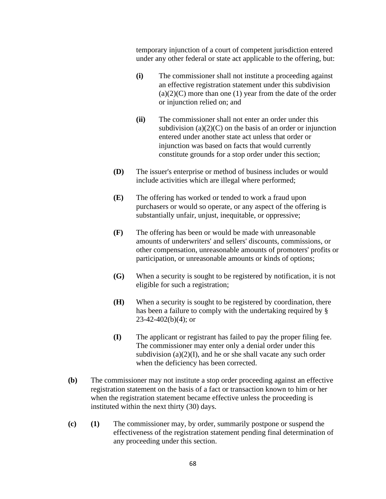temporary injunction of a court of competent jurisdiction entered under any other federal or state act applicable to the offering, but:

- **(i)** The commissioner shall not institute a proceeding against an effective registration statement under this subdivision  $(a)(2)(C)$  more than one (1) year from the date of the order or injunction relied on; and
- **(ii)** The commissioner shall not enter an order under this subdivision  $(a)(2)(C)$  on the basis of an order or injunction entered under another state act unless that order or injunction was based on facts that would currently constitute grounds for a stop order under this section;
- **(D)** The issuer's enterprise or method of business includes or would include activities which are illegal where performed;
- **(E)** The offering has worked or tended to work a fraud upon purchasers or would so operate, or any aspect of the offering is substantially unfair, unjust, inequitable, or oppressive;
- **(F)** The offering has been or would be made with unreasonable amounts of underwriters' and sellers' discounts, commissions, or other compensation, unreasonable amounts of promoters' profits or participation, or unreasonable amounts or kinds of options;
- **(G)** When a security is sought to be registered by notification, it is not eligible for such a registration;
- **(H)** When a security is sought to be registered by coordination, there has been a failure to comply with the undertaking required by §  $23-42-402(b)(4)$ ; or
- **(I)** The applicant or registrant has failed to pay the proper filing fee. The commissioner may enter only a denial order under this subdivision  $(a)(2)(I)$ , and he or she shall vacate any such order when the deficiency has been corrected.
- **(b)** The commissioner may not institute a stop order proceeding against an effective registration statement on the basis of a fact or transaction known to him or her when the registration statement became effective unless the proceeding is instituted within the next thirty (30) days.
- **(c) (1)** The commissioner may, by order, summarily postpone or suspend the effectiveness of the registration statement pending final determination of any proceeding under this section.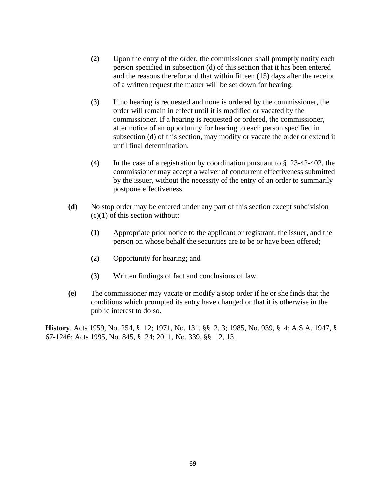- **(2)** Upon the entry of the order, the commissioner shall promptly notify each person specified in subsection (d) of this section that it has been entered and the reasons therefor and that within fifteen (15) days after the receipt of a written request the matter will be set down for hearing.
- **(3)** If no hearing is requested and none is ordered by the commissioner, the order will remain in effect until it is modified or vacated by the commissioner. If a hearing is requested or ordered, the commissioner, after notice of an opportunity for hearing to each person specified in subsection (d) of this section, may modify or vacate the order or extend it until final determination.
- **(4)** In the case of a registration by coordination pursuant to § 23-42-402, the commissioner may accept a waiver of concurrent effectiveness submitted by the issuer, without the necessity of the entry of an order to summarily postpone effectiveness.
- **(d)** No stop order may be entered under any part of this section except subdivision  $(c)(1)$  of this section without:
	- **(1)** Appropriate prior notice to the applicant or registrant, the issuer, and the person on whose behalf the securities are to be or have been offered;
	- **(2)** Opportunity for hearing; and
	- **(3)** Written findings of fact and conclusions of law.
- **(e)** The commissioner may vacate or modify a stop order if he or she finds that the conditions which prompted its entry have changed or that it is otherwise in the public interest to do so.

**History**. Acts 1959, No. 254, § 12; 1971, No. 131, §§ 2, 3; 1985, No. 939, § 4; A.S.A. 1947, § 67-1246; Acts 1995, No. 845, § 24; 2011, No. 339, §§ 12, 13.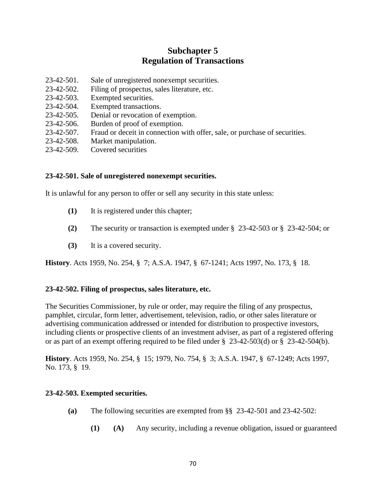# **Subchapter 5 Regulation of Transactions**

- 23-42-501. Sale of unregistered nonexempt securities.
- 23-42-502. Filing of prospectus, sales literature, etc.
- 23-42-503. Exempted securities.
- 23-42-504. Exempted transactions.
- 23-42-505. Denial or revocation of exemption.
- 23-42-506. Burden of proof of exemption.
- 23-42-507. Fraud or deceit in connection with offer, sale, or purchase of securities.
- 23-42-508. Market manipulation.
- 23-42-509. Covered securities

### **23-42-501. Sale of unregistered nonexempt securities.**

It is unlawful for any person to offer or sell any security in this state unless:

- **(1)** It is registered under this chapter;
- **(2)** The security or transaction is exempted under § 23-42-503 or § 23-42-504; or
- **(3)** It is a covered security.

**History**. Acts 1959, No. 254, § 7; A.S.A. 1947, § 67-1241; Acts 1997, No. 173, § 18.

# **23-42-502. Filing of prospectus, sales literature, etc.**

The Securities Commissioner, by rule or order, may require the filing of any prospectus, pamphlet, circular, form letter, advertisement, television, radio, or other sales literature or advertising communication addressed or intended for distribution to prospective investors, including clients or prospective clients of an investment adviser, as part of a registered offering or as part of an exempt offering required to be filed under  $\S$  23-42-503(d) or  $\S$  23-42-504(b).

**History**. Acts 1959, No. 254, § 15; 1979, No. 754, § 3; A.S.A. 1947, § 67-1249; Acts 1997, No. 173, § 19.

# **23-42-503. Exempted securities.**

- **(a)** The following securities are exempted from §§ 23-42-501 and 23-42-502:
	- **(1) (A)** Any security, including a revenue obligation, issued or guaranteed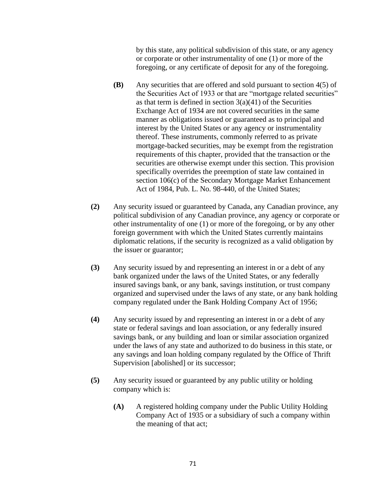by this state, any political subdivision of this state, or any agency or corporate or other instrumentality of one (1) or more of the foregoing, or any certificate of deposit for any of the foregoing.

- **(B)** Any securities that are offered and sold pursuant to section 4(5) of the Securities Act of 1933 or that are "mortgage related securities" as that term is defined in section  $3(a)(41)$  of the Securities Exchange Act of 1934 are not covered securities in the same manner as obligations issued or guaranteed as to principal and interest by the United States or any agency or instrumentality thereof. These instruments, commonly referred to as private mortgage-backed securities, may be exempt from the registration requirements of this chapter, provided that the transaction or the securities are otherwise exempt under this section. This provision specifically overrides the preemption of state law contained in section 106(c) of the Secondary Mortgage Market Enhancement Act of 1984, Pub. L. No. 98-440, of the United States;
- **(2)** Any security issued or guaranteed by Canada, any Canadian province, any political subdivision of any Canadian province, any agency or corporate or other instrumentality of one (1) or more of the foregoing, or by any other foreign government with which the United States currently maintains diplomatic relations, if the security is recognized as a valid obligation by the issuer or guarantor;
- **(3)** Any security issued by and representing an interest in or a debt of any bank organized under the laws of the United States, or any federally insured savings bank, or any bank, savings institution, or trust company organized and supervised under the laws of any state, or any bank holding company regulated under the Bank Holding Company Act of 1956;
- **(4)** Any security issued by and representing an interest in or a debt of any state or federal savings and loan association, or any federally insured savings bank, or any building and loan or similar association organized under the laws of any state and authorized to do business in this state, or any savings and loan holding company regulated by the Office of Thrift Supervision [abolished] or its successor;
- **(5)** Any security issued or guaranteed by any public utility or holding company which is:
	- **(A)** A registered holding company under the Public Utility Holding Company Act of 1935 or a subsidiary of such a company within the meaning of that act;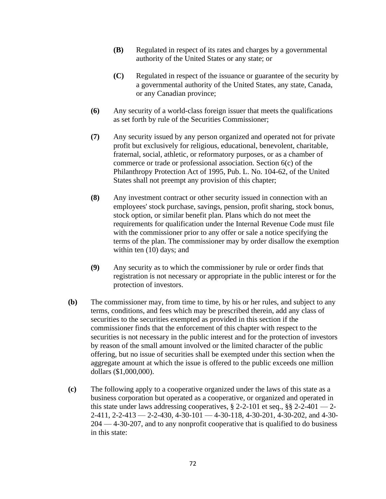- **(B)** Regulated in respect of its rates and charges by a governmental authority of the United States or any state; or
- **(C)** Regulated in respect of the issuance or guarantee of the security by a governmental authority of the United States, any state, Canada, or any Canadian province;
- **(6)** Any security of a world-class foreign issuer that meets the qualifications as set forth by rule of the Securities Commissioner;
- **(7)** Any security issued by any person organized and operated not for private profit but exclusively for religious, educational, benevolent, charitable, fraternal, social, athletic, or reformatory purposes, or as a chamber of commerce or trade or professional association. Section 6(c) of the Philanthropy Protection Act of 1995, Pub. L. No. 104-62, of the United States shall not preempt any provision of this chapter;
- **(8)** Any investment contract or other security issued in connection with an employees' stock purchase, savings, pension, profit sharing, stock bonus, stock option, or similar benefit plan. Plans which do not meet the requirements for qualification under the Internal Revenue Code must file with the commissioner prior to any offer or sale a notice specifying the terms of the plan. The commissioner may by order disallow the exemption within ten  $(10)$  days; and
- **(9)** Any security as to which the commissioner by rule or order finds that registration is not necessary or appropriate in the public interest or for the protection of investors.
- **(b)** The commissioner may, from time to time, by his or her rules, and subject to any terms, conditions, and fees which may be prescribed therein, add any class of securities to the securities exempted as provided in this section if the commissioner finds that the enforcement of this chapter with respect to the securities is not necessary in the public interest and for the protection of investors by reason of the small amount involved or the limited character of the public offering, but no issue of securities shall be exempted under this section when the aggregate amount at which the issue is offered to the public exceeds one million dollars (\$1,000,000).
- **(c)** The following apply to a cooperative organized under the laws of this state as a business corporation but operated as a cooperative, or organized and operated in this state under laws addressing cooperatives,  $\S 2$ -2-101 et seq.,  $\S \ 2$ -2-401 — 2-2-411, 2-2-413 — 2-2-430, 4-30-101 — 4-30-118, 4-30-201, 4-30-202, and 4-30- 204 — 4-30-207, and to any nonprofit cooperative that is qualified to do business in this state: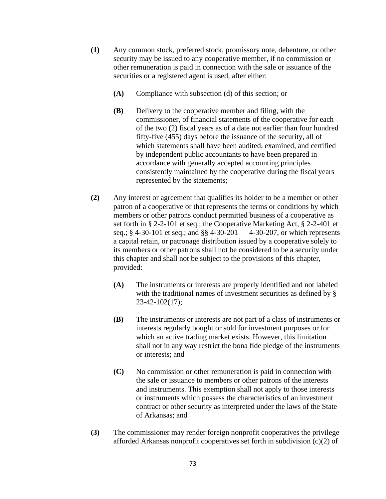- **(1)** Any common stock, preferred stock, promissory note, debenture, or other security may be issued to any cooperative member, if no commission or other remuneration is paid in connection with the sale or issuance of the securities or a registered agent is used, after either:
	- **(A)** Compliance with subsection (d) of this section; or
	- **(B)** Delivery to the cooperative member and filing, with the commissioner, of financial statements of the cooperative for each of the two (2) fiscal years as of a date not earlier than four hundred fifty-five (455) days before the issuance of the security, all of which statements shall have been audited, examined, and certified by independent public accountants to have been prepared in accordance with generally accepted accounting principles consistently maintained by the cooperative during the fiscal years represented by the statements;
- **(2)** Any interest or agreement that qualifies its holder to be a member or other patron of a cooperative or that represents the terms or conditions by which members or other patrons conduct permitted business of a cooperative as set forth in § 2-2-101 et seq.; the Cooperative Marketing Act, § 2-2-401 et seq.; § 4-30-101 et seq.; and §§ 4-30-201 — 4-30-207, or which represents a capital retain, or patronage distribution issued by a cooperative solely to its members or other patrons shall not be considered to be a security under this chapter and shall not be subject to the provisions of this chapter, provided:
	- **(A)** The instruments or interests are properly identified and not labeled with the traditional names of investment securities as defined by § 23-42-102(17);
	- **(B)** The instruments or interests are not part of a class of instruments or interests regularly bought or sold for investment purposes or for which an active trading market exists. However, this limitation shall not in any way restrict the bona fide pledge of the instruments or interests; and
	- **(C)** No commission or other remuneration is paid in connection with the sale or issuance to members or other patrons of the interests and instruments. This exemption shall not apply to those interests or instruments which possess the characteristics of an investment contract or other security as interpreted under the laws of the State of Arkansas; and
- **(3)** The commissioner may render foreign nonprofit cooperatives the privilege afforded Arkansas nonprofit cooperatives set forth in subdivision (c)(2) of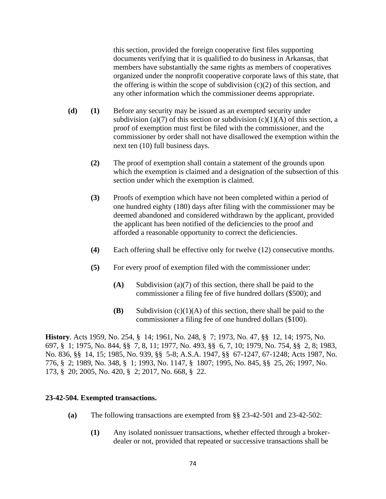this section, provided the foreign cooperative first files supporting documents verifying that it is qualified to do business in Arkansas, that members have substantially the same rights as members of cooperatives organized under the nonprofit cooperative corporate laws of this state, that the offering is within the scope of subdivision  $(c)(2)$  of this section, and any other information which the commissioner deems appropriate.

- **(d) (1)** Before any security may be issued as an exempted security under subdivision (a)(7) of this section or subdivision (c)(1)(A) of this section, a proof of exemption must first be filed with the commissioner, and the commissioner by order shall not have disallowed the exemption within the next ten (10) full business days.
	- **(2)** The proof of exemption shall contain a statement of the grounds upon which the exemption is claimed and a designation of the subsection of this section under which the exemption is claimed.
	- **(3)** Proofs of exemption which have not been completed within a period of one hundred eighty (180) days after filing with the commissioner may be deemed abandoned and considered withdrawn by the applicant, provided the applicant has been notified of the deficiencies to the proof and afforded a reasonable opportunity to correct the deficiencies.
	- **(4)** Each offering shall be effective only for twelve (12) consecutive months.
	- **(5)** For every proof of exemption filed with the commissioner under:
		- **(A)** Subdivision (a)(7) of this section, there shall be paid to the commissioner a filing fee of five hundred dollars (\$500); and
		- **(B)** Subdivision (c)(1)(A) of this section, there shall be paid to the commissioner a filing fee of one hundred dollars (\$100).

**History**. Acts 1959, No. 254, § 14; 1961, No. 248, § 7; 1973, No. 47, §§ 12, 14; 1975, No. 697, § 1; 1975, No. 844, §§ 7, 8, 11; 1977, No. 493, §§ 6, 7, 10; 1979, No. 754, §§ 2, 8; 1983, No. 836, §§ 14, 15; 1985, No. 939, §§ 5-8; A.S.A. 1947, §§ 67-1247, 67-1248; Acts 1987, No. 776, § 2; 1989, No. 348, § 1; 1993, No. 1147, § 1807; 1995, No. 845, §§ 25, 26; 1997, No. 173, § 20; 2005, No. 420, § 2; 2017, No. 668, § 22.

#### **23-42-504. Exempted transactions.**

- **(a)** The following transactions are exempted from §§ 23-42-501 and 23-42-502:
	- **(1)** Any isolated nonissuer transactions, whether effected through a brokerdealer or not, provided that repeated or successive transactions shall be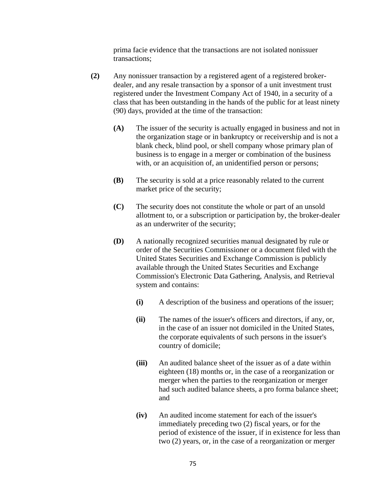prima facie evidence that the transactions are not isolated nonissuer transactions;

- **(2)** Any nonissuer transaction by a registered agent of a registered brokerdealer, and any resale transaction by a sponsor of a unit investment trust registered under the Investment Company Act of 1940, in a security of a class that has been outstanding in the hands of the public for at least ninety (90) days, provided at the time of the transaction:
	- **(A)** The issuer of the security is actually engaged in business and not in the organization stage or in bankruptcy or receivership and is not a blank check, blind pool, or shell company whose primary plan of business is to engage in a merger or combination of the business with, or an acquisition of, an unidentified person or persons;
	- **(B)** The security is sold at a price reasonably related to the current market price of the security;
	- **(C)** The security does not constitute the whole or part of an unsold allotment to, or a subscription or participation by, the broker-dealer as an underwriter of the security;
	- **(D)** A nationally recognized securities manual designated by rule or order of the Securities Commissioner or a document filed with the United States Securities and Exchange Commission is publicly available through the United States Securities and Exchange Commission's Electronic Data Gathering, Analysis, and Retrieval system and contains:
		- **(i)** A description of the business and operations of the issuer;
		- **(ii)** The names of the issuer's officers and directors, if any, or, in the case of an issuer not domiciled in the United States, the corporate equivalents of such persons in the issuer's country of domicile;
		- **(iii)** An audited balance sheet of the issuer as of a date within eighteen (18) months or, in the case of a reorganization or merger when the parties to the reorganization or merger had such audited balance sheets, a pro forma balance sheet; and
		- **(iv)** An audited income statement for each of the issuer's immediately preceding two (2) fiscal years, or for the period of existence of the issuer, if in existence for less than two (2) years, or, in the case of a reorganization or merger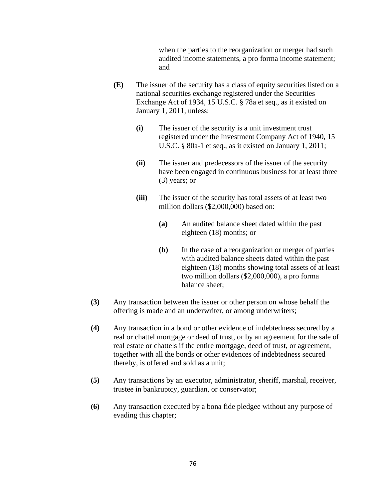when the parties to the reorganization or merger had such audited income statements, a pro forma income statement; and

- **(E)** The issuer of the security has a class of equity securities listed on a national securities exchange registered under the Securities Exchange Act of 1934, 15 U.S.C. § 78a et seq., as it existed on January 1, 2011, unless:
	- **(i)** The issuer of the security is a unit investment trust registered under the Investment Company Act of 1940, 15 U.S.C. § 80a-1 et seq., as it existed on January 1, 2011;
	- **(ii)** The issuer and predecessors of the issuer of the security have been engaged in continuous business for at least three (3) years; or
	- **(iii)** The issuer of the security has total assets of at least two million dollars (\$2,000,000) based on:
		- **(a)** An audited balance sheet dated within the past eighteen (18) months; or
		- **(b)** In the case of a reorganization or merger of parties with audited balance sheets dated within the past eighteen (18) months showing total assets of at least two million dollars (\$2,000,000), a pro forma balance sheet;
- **(3)** Any transaction between the issuer or other person on whose behalf the offering is made and an underwriter, or among underwriters;
- **(4)** Any transaction in a bond or other evidence of indebtedness secured by a real or chattel mortgage or deed of trust, or by an agreement for the sale of real estate or chattels if the entire mortgage, deed of trust, or agreement, together with all the bonds or other evidences of indebtedness secured thereby, is offered and sold as a unit;
- **(5)** Any transactions by an executor, administrator, sheriff, marshal, receiver, trustee in bankruptcy, guardian, or conservator;
- **(6)** Any transaction executed by a bona fide pledgee without any purpose of evading this chapter;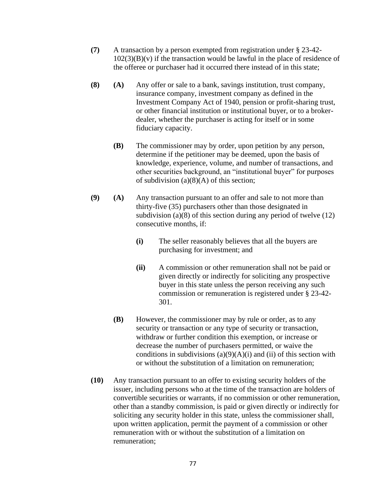- **(7)** A transaction by a person exempted from registration under § 23-42-  $102(3)(B)(v)$  if the transaction would be lawful in the place of residence of the offeree or purchaser had it occurred there instead of in this state;
- **(8) (A)** Any offer or sale to a bank, savings institution, trust company, insurance company, investment company as defined in the Investment Company Act of 1940, pension or profit-sharing trust, or other financial institution or institutional buyer, or to a brokerdealer, whether the purchaser is acting for itself or in some fiduciary capacity.
	- **(B)** The commissioner may by order, upon petition by any person, determine if the petitioner may be deemed, upon the basis of knowledge, experience, volume, and number of transactions, and other securities background, an "institutional buyer" for purposes of subdivision  $(a)(8)(A)$  of this section;
- **(9) (A)** Any transaction pursuant to an offer and sale to not more than thirty-five (35) purchasers other than those designated in subdivision (a) $(8)$  of this section during any period of twelve  $(12)$ consecutive months, if:
	- **(i)** The seller reasonably believes that all the buyers are purchasing for investment; and
	- **(ii)** A commission or other remuneration shall not be paid or given directly or indirectly for soliciting any prospective buyer in this state unless the person receiving any such commission or remuneration is registered under § 23-42- 301.
	- **(B)** However, the commissioner may by rule or order, as to any security or transaction or any type of security or transaction, withdraw or further condition this exemption, or increase or decrease the number of purchasers permitted, or waive the conditions in subdivisions  $(a)(9)(A)(i)$  and  $(ii)$  of this section with or without the substitution of a limitation on remuneration;
- **(10)** Any transaction pursuant to an offer to existing security holders of the issuer, including persons who at the time of the transaction are holders of convertible securities or warrants, if no commission or other remuneration, other than a standby commission, is paid or given directly or indirectly for soliciting any security holder in this state, unless the commissioner shall, upon written application, permit the payment of a commission or other remuneration with or without the substitution of a limitation on remuneration;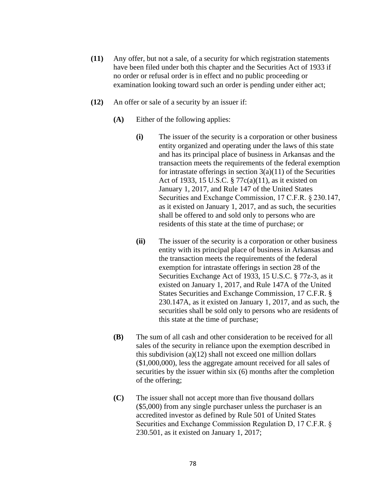- **(11)** Any offer, but not a sale, of a security for which registration statements have been filed under both this chapter and the Securities Act of 1933 if no order or refusal order is in effect and no public proceeding or examination looking toward such an order is pending under either act;
- **(12)** An offer or sale of a security by an issuer if:
	- **(A)** Either of the following applies:
		- **(i)** The issuer of the security is a corporation or other business entity organized and operating under the laws of this state and has its principal place of business in Arkansas and the transaction meets the requirements of the federal exemption for intrastate offerings in section  $3(a)(11)$  of the Securities Act of 1933, 15 U.S.C. § 77c(a)(11), as it existed on January 1, 2017, and Rule 147 of the United States Securities and Exchange Commission, 17 C.F.R. § 230.147, as it existed on January 1, 2017, and as such, the securities shall be offered to and sold only to persons who are residents of this state at the time of purchase; or
		- **(ii)** The issuer of the security is a corporation or other business entity with its principal place of business in Arkansas and the transaction meets the requirements of the federal exemption for intrastate offerings in section 28 of the Securities Exchange Act of 1933, 15 U.S.C. § 77z-3, as it existed on January 1, 2017, and Rule 147A of the United States Securities and Exchange Commission, 17 C.F.R. § 230.147A, as it existed on January 1, 2017, and as such, the securities shall be sold only to persons who are residents of this state at the time of purchase;
	- **(B)** The sum of all cash and other consideration to be received for all sales of the security in reliance upon the exemption described in this subdivision (a)(12) shall not exceed one million dollars (\$1,000,000), less the aggregate amount received for all sales of securities by the issuer within six (6) months after the completion of the offering;
	- **(C)** The issuer shall not accept more than five thousand dollars (\$5,000) from any single purchaser unless the purchaser is an accredited investor as defined by Rule 501 of United States Securities and Exchange Commission Regulation D, 17 C.F.R. §  230.501, as it existed on January 1, 2017;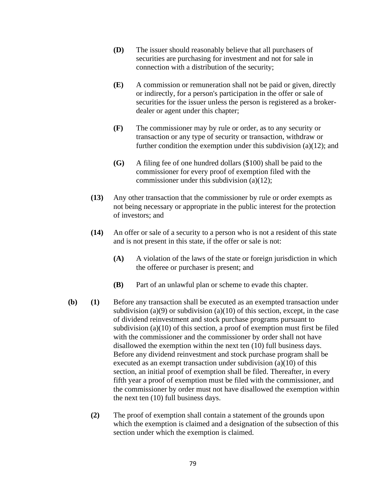- **(D)** The issuer should reasonably believe that all purchasers of securities are purchasing for investment and not for sale in connection with a distribution of the security;
- **(E)** A commission or remuneration shall not be paid or given, directly or indirectly, for a person's participation in the offer or sale of securities for the issuer unless the person is registered as a brokerdealer or agent under this chapter;
- **(F)** The commissioner may by rule or order, as to any security or transaction or any type of security or transaction, withdraw or further condition the exemption under this subdivision (a)(12); and
- **(G)** A filing fee of one hundred dollars (\$100) shall be paid to the commissioner for every proof of exemption filed with the commissioner under this subdivision (a)(12);
- **(13)** Any other transaction that the commissioner by rule or order exempts as not being necessary or appropriate in the public interest for the protection of investors; and
- **(14)** An offer or sale of a security to a person who is not a resident of this state and is not present in this state, if the offer or sale is not:
	- **(A)** A violation of the laws of the state or foreign jurisdiction in which the offeree or purchaser is present; and
	- **(B)** Part of an unlawful plan or scheme to evade this chapter.
- **(b) (1)** Before any transaction shall be executed as an exempted transaction under subdivision (a)(9) or subdivision (a)(10) of this section, except, in the case of dividend reinvestment and stock purchase programs pursuant to subdivision (a)(10) of this section, a proof of exemption must first be filed with the commissioner and the commissioner by order shall not have disallowed the exemption within the next ten (10) full business days. Before any dividend reinvestment and stock purchase program shall be executed as an exempt transaction under subdivision (a)(10) of this section, an initial proof of exemption shall be filed. Thereafter, in every fifth year a proof of exemption must be filed with the commissioner, and the commissioner by order must not have disallowed the exemption within the next ten (10) full business days.
	- **(2)** The proof of exemption shall contain a statement of the grounds upon which the exemption is claimed and a designation of the subsection of this section under which the exemption is claimed.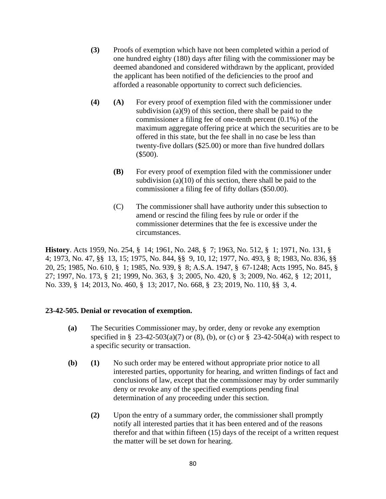- **(3)** Proofs of exemption which have not been completed within a period of one hundred eighty (180) days after filing with the commissioner may be deemed abandoned and considered withdrawn by the applicant, provided the applicant has been notified of the deficiencies to the proof and afforded a reasonable opportunity to correct such deficiencies.
- **(4) (A)** For every proof of exemption filed with the commissioner under subdivision (a)(9) of this section, there shall be paid to the commissioner a filing fee of one-tenth percent (0.1%) of the maximum aggregate offering price at which the securities are to be offered in this state, but the fee shall in no case be less than twenty-five dollars (\$25.00) or more than five hundred dollars (\$500).
	- **(B)** For every proof of exemption filed with the commissioner under subdivision  $(a)(10)$  of this section, there shall be paid to the commissioner a filing fee of fifty dollars (\$50.00).
	- (C) The commissioner shall have authority under this subsection to amend or rescind the filing fees by rule or order if the commissioner determines that the fee is excessive under the circumstances.

**History**. Acts 1959, No. 254, § 14; 1961, No. 248, § 7; 1963, No. 512, § 1; 1971, No. 131, § 4; 1973, No. 47, §§ 13, 15; 1975, No. 844, §§ 9, 10, 12; 1977, No. 493, § 8; 1983, No. 836, §§ 20, 25; 1985, No. 610, § 1; 1985, No. 939, § 8; A.S.A. 1947, § 67-1248; Acts 1995, No. 845, § 27; 1997, No. 173, § 21; 1999, No. 363, § 3; 2005, No. 420, § 3; 2009, No. 462, § 12; 2011, No. 339, § 14; 2013, No. 460, § 13; 2017, No. 668, § 23; 2019, No. 110, §§ 3, 4.

#### **23-42-505. Denial or revocation of exemption.**

- **(a)** The Securities Commissioner may, by order, deny or revoke any exemption specified in § 23-42-503(a)(7) or (8), (b), or (c) or § 23-42-504(a) with respect to a specific security or transaction.
- **(b) (1)** No such order may be entered without appropriate prior notice to all interested parties, opportunity for hearing, and written findings of fact and conclusions of law, except that the commissioner may by order summarily deny or revoke any of the specified exemptions pending final determination of any proceeding under this section.
	- **(2)** Upon the entry of a summary order, the commissioner shall promptly notify all interested parties that it has been entered and of the reasons therefor and that within fifteen (15) days of the receipt of a written request the matter will be set down for hearing.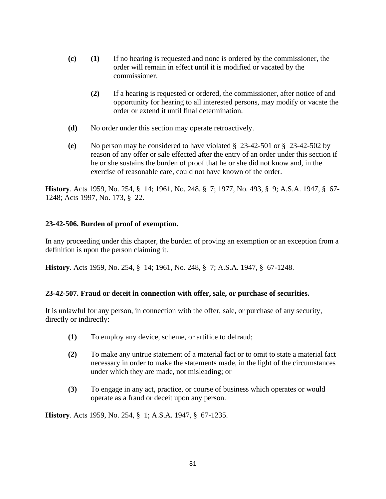- **(c) (1)** If no hearing is requested and none is ordered by the commissioner, the order will remain in effect until it is modified or vacated by the commissioner.
	- **(2)** If a hearing is requested or ordered, the commissioner, after notice of and opportunity for hearing to all interested persons, may modify or vacate the order or extend it until final determination.
- **(d)** No order under this section may operate retroactively.
- **(e)** No person may be considered to have violated § 23-42-501 or § 23-42-502 by reason of any offer or sale effected after the entry of an order under this section if he or she sustains the burden of proof that he or she did not know and, in the exercise of reasonable care, could not have known of the order.

**History**. Acts 1959, No. 254, § 14; 1961, No. 248, § 7; 1977, No. 493, § 9; A.S.A. 1947, § 67- 1248; Acts 1997, No. 173, § 22.

# **23-42-506. Burden of proof of exemption.**

In any proceeding under this chapter, the burden of proving an exemption or an exception from a definition is upon the person claiming it.

**History**. Acts 1959, No. 254, § 14; 1961, No. 248, § 7; A.S.A. 1947, § 67-1248.

#### **23-42-507. Fraud or deceit in connection with offer, sale, or purchase of securities.**

It is unlawful for any person, in connection with the offer, sale, or purchase of any security, directly or indirectly:

- **(1)** To employ any device, scheme, or artifice to defraud;
- **(2)** To make any untrue statement of a material fact or to omit to state a material fact necessary in order to make the statements made, in the light of the circumstances under which they are made, not misleading; or
- **(3)** To engage in any act, practice, or course of business which operates or would operate as a fraud or deceit upon any person.

**History**. Acts 1959, No. 254, § 1; A.S.A. 1947, § 67-1235.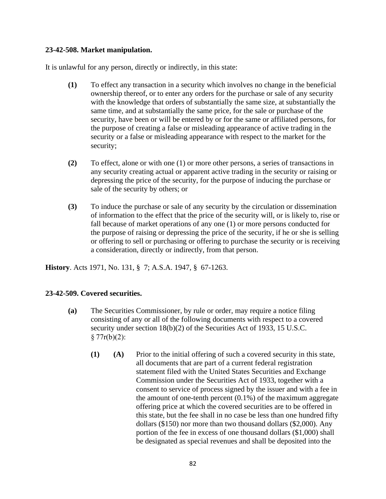#### **23-42-508. Market manipulation.**

It is unlawful for any person, directly or indirectly, in this state:

- **(1)** To effect any transaction in a security which involves no change in the beneficial ownership thereof, or to enter any orders for the purchase or sale of any security with the knowledge that orders of substantially the same size, at substantially the same time, and at substantially the same price, for the sale or purchase of the security, have been or will be entered by or for the same or affiliated persons, for the purpose of creating a false or misleading appearance of active trading in the security or a false or misleading appearance with respect to the market for the security;
- **(2)** To effect, alone or with one (1) or more other persons, a series of transactions in any security creating actual or apparent active trading in the security or raising or depressing the price of the security, for the purpose of inducing the purchase or sale of the security by others; or
- **(3)** To induce the purchase or sale of any security by the circulation or dissemination of information to the effect that the price of the security will, or is likely to, rise or fall because of market operations of any one (1) or more persons conducted for the purpose of raising or depressing the price of the security, if he or she is selling or offering to sell or purchasing or offering to purchase the security or is receiving a consideration, directly or indirectly, from that person.

**History**. Acts 1971, No. 131, § 7; A.S.A. 1947, § 67-1263.

# **23-42-509. Covered securities.**

- **(a)** The Securities Commissioner, by rule or order, may require a notice filing consisting of any or all of the following documents with respect to a covered security under section 18(b)(2) of the Securities Act of 1933, 15 U.S.C.  $§ 77r(b)(2):$ 
	- **(1) (A)** Prior to the initial offering of such a covered security in this state, all documents that are part of a current federal registration statement filed with the United States Securities and Exchange Commission under the Securities Act of 1933, together with a consent to service of process signed by the issuer and with a fee in the amount of one-tenth percent (0.1%) of the maximum aggregate offering price at which the covered securities are to be offered in this state, but the fee shall in no case be less than one hundred fifty dollars (\$150) nor more than two thousand dollars (\$2,000). Any portion of the fee in excess of one thousand dollars (\$1,000) shall be designated as special revenues and shall be deposited into the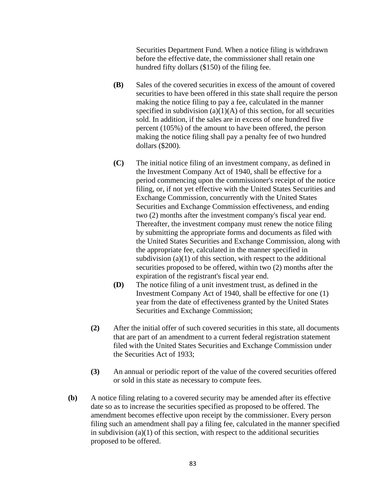Securities Department Fund. When a notice filing is withdrawn before the effective date, the commissioner shall retain one hundred fifty dollars (\$150) of the filing fee.

- **(B)** Sales of the covered securities in excess of the amount of covered securities to have been offered in this state shall require the person making the notice filing to pay a fee, calculated in the manner specified in subdivision  $(a)(1)(A)$  of this section, for all securities sold. In addition, if the sales are in excess of one hundred five percent (105%) of the amount to have been offered, the person making the notice filing shall pay a penalty fee of two hundred dollars (\$200).
- **(C)** The initial notice filing of an investment company, as defined in the Investment Company Act of 1940, shall be effective for a period commencing upon the commissioner's receipt of the notice filing, or, if not yet effective with the United States Securities and Exchange Commission, concurrently with the United States Securities and Exchange Commission effectiveness, and ending two (2) months after the investment company's fiscal year end. Thereafter, the investment company must renew the notice filing by submitting the appropriate forms and documents as filed with the United States Securities and Exchange Commission, along with the appropriate fee, calculated in the manner specified in subdivision  $(a)(1)$  of this section, with respect to the additional securities proposed to be offered, within two (2) months after the expiration of the registrant's fiscal year end.
- **(D)** The notice filing of a unit investment trust, as defined in the Investment Company Act of 1940, shall be effective for one (1) year from the date of effectiveness granted by the United States Securities and Exchange Commission;
- **(2)** After the initial offer of such covered securities in this state, all documents that are part of an amendment to a current federal registration statement filed with the United States Securities and Exchange Commission under the Securities Act of 1933;
- **(3)** An annual or periodic report of the value of the covered securities offered or sold in this state as necessary to compute fees.
- **(b)** A notice filing relating to a covered security may be amended after its effective date so as to increase the securities specified as proposed to be offered. The amendment becomes effective upon receipt by the commissioner. Every person filing such an amendment shall pay a filing fee, calculated in the manner specified in subdivision  $(a)(1)$  of this section, with respect to the additional securities proposed to be offered.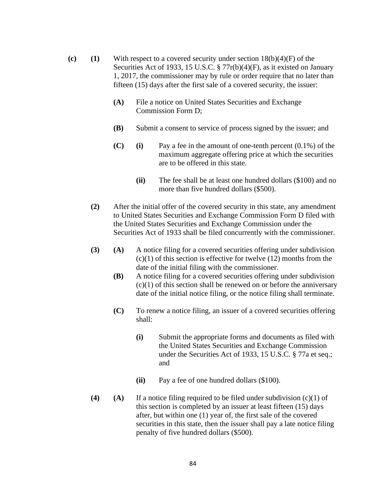- **(c)** (1) With respect to a covered security under section  $18(b)(4)(F)$  of the Securities Act of 1933, 15 U.S.C. § 77r(b)(4)(F), as it existed on January 1, 2017, the commissioner may by rule or order require that no later than fifteen (15) days after the first sale of a covered security, the issuer:
	- **(A)** File a notice on United States Securities and Exchange Commission Form D;
	- **(B)** Submit a consent to service of process signed by the issuer; and
	- **(C) (i)** Pay a fee in the amount of one-tenth percent (0.1%) of the maximum aggregate offering price at which the securities are to be offered in this state.
		- **(ii)** The fee shall be at least one hundred dollars (\$100) and no more than five hundred dollars (\$500).
	- **(2)** After the initial offer of the covered security in this state, any amendment to United States Securities and Exchange Commission Form D filed with the United States Securities and Exchange Commission under the Securities Act of 1933 shall be filed concurrently with the commissioner.
	- **(3) (A)** A notice filing for a covered securities offering under subdivision  $(c)(1)$  of this section is effective for twelve  $(12)$  months from the date of the initial filing with the commissioner.
		- **(B)** A notice filing for a covered securities offering under subdivision  $(c)(1)$  of this section shall be renewed on or before the anniversary date of the initial notice filing, or the notice filing shall terminate.
		- **(C)** To renew a notice filing, an issuer of a covered securities offering shall:
			- **(i)** Submit the appropriate forms and documents as filed with the United States Securities and Exchange Commission under the Securities Act of 1933, 15 U.S.C. § 77a et seq.; and
			- **(ii)** Pay a fee of one hundred dollars (\$100).
	- **(4)**  $(A)$  If a notice filing required to be filed under subdivision  $(c)(1)$  of this section is completed by an issuer at least fifteen (15) days after, but within one (1) year of, the first sale of the covered securities in this state, then the issuer shall pay a late notice filing penalty of five hundred dollars (\$500).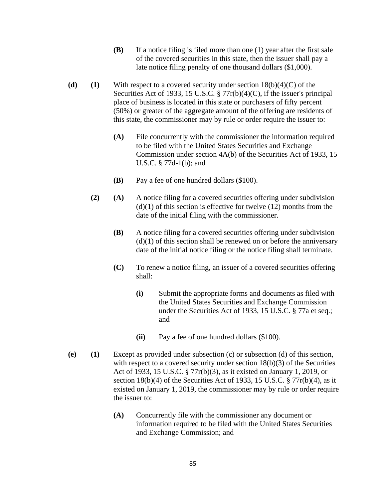- **(B)** If a notice filing is filed more than one (1) year after the first sale of the covered securities in this state, then the issuer shall pay a late notice filing penalty of one thousand dollars (\$1,000).
- **(d)** (1) With respect to a covered security under section  $18(b)(4)(C)$  of the Securities Act of 1933, 15 U.S.C. § 77r(b)(4)(C), if the issuer's principal place of business is located in this state or purchasers of fifty percent (50%) or greater of the aggregate amount of the offering are residents of this state, the commissioner may by rule or order require the issuer to:
	- **(A)** File concurrently with the commissioner the information required to be filed with the United States Securities and Exchange Commission under section 4A(b) of the Securities Act of 1933, 15 U.S.C. § 77d-1(b); and
	- **(B)** Pay a fee of one hundred dollars (\$100).
	- **(2) (A)** A notice filing for a covered securities offering under subdivision  $(d)(1)$  of this section is effective for twelve  $(12)$  months from the date of the initial filing with the commissioner.
		- **(B)** A notice filing for a covered securities offering under subdivision  $(d)(1)$  of this section shall be renewed on or before the anniversary date of the initial notice filing or the notice filing shall terminate.
		- **(C)** To renew a notice filing, an issuer of a covered securities offering shall:
			- **(i)** Submit the appropriate forms and documents as filed with the United States Securities and Exchange Commission under the Securities Act of 1933, 15 U.S.C. § 77a et seq.; and
			- **(ii)** Pay a fee of one hundred dollars (\$100).
- **(e) (1)** Except as provided under subsection (c) or subsection (d) of this section, with respect to a covered security under section  $18(b)(3)$  of the Securities Act of 1933, 15 U.S.C. § 77r(b)(3), as it existed on January 1, 2019, or section 18(b)(4) of the Securities Act of 1933, 15 U.S.C. § 77r(b)(4), as it existed on January 1, 2019, the commissioner may by rule or order require the issuer to:
	- **(A)** Concurrently file with the commissioner any document or information required to be filed with the United States Securities and Exchange Commission; and